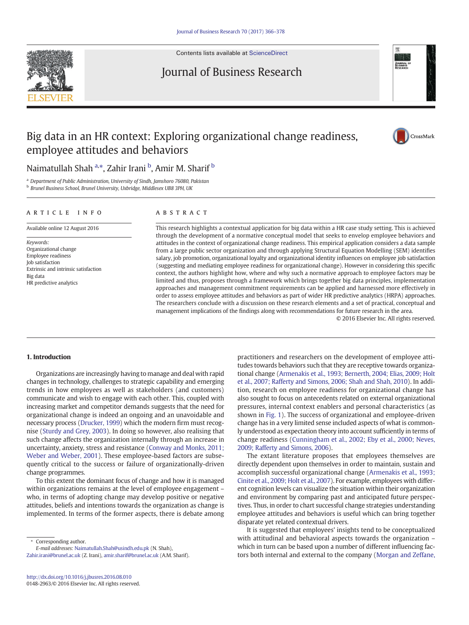

Contents lists available at [ScienceDirect](http://www.sciencedirect.com/science/journal/01482963)

# Journal of Business Research



# Big data in an HR context: Exploring organizational change readiness, employee attitudes and behaviors



# Naimatullah Shah <sup>a,\*</sup>, Zahir Irani <sup>b</sup>, Amir M. Sharif <sup>b</sup>

<sup>a</sup> Department of Public Administration, University of Sindh, Jamshoro 76080, Pakistan

<sup>b</sup> Brunel Business School, Brunel University, Uxbridge, Middlesex UB8 3PH, UK

# article info abstract

Keywords: Organizational change Employee readiness Job satisfaction Extrinsic and intrinsic satisfaction Big data HR predictive analytics

Available online 12 August 2016 This research highlights a contextual application for big data within a HR case study setting. This is achieved through the development of a normative conceptual model that seeks to envelop employee behaviors and attitudes in the context of organizational change readiness. This empirical application considers a data sample from a large public sector organization and through applying Structural Equation Modelling (SEM) identifies salary, job promotion, organizational loyalty and organizational identity influences on employee job satisfaction (suggesting and mediating employee readiness for organizational change). However in considering this specific context, the authors highlight how, where and why such a normative approach to employee factors may be limited and thus, proposes through a framework which brings together big data principles, implementation approaches and management commitment requirements can be applied and harnessed more effectively in order to assess employee attitudes and behaviors as part of wider HR predictive analytics (HRPA) approaches. The researchers conclude with a discussion on these research elements and a set of practical, conceptual and management implications of the findings along with recommendations for future research in the area.

© 2016 Elsevier Inc. All rights reserved.

# 1. Introduction

Organizations are increasingly having to manage and deal with rapid changes in technology, challenges to strategic capability and emerging trends in how employees as well as stakeholders (and customers) communicate and wish to engage with each other. This, coupled with increasing market and competitor demands suggests that the need for organizational change is indeed an ongoing and an unavoidable and necessary process [\(Drucker, 1999](#page-10-0)) which the modern firm must recognise [\(Sturdy and Grey, 2003](#page-11-0)). In doing so however, also realising that such change affects the organization internally through an increase in uncertainty, anxiety, stress and resistance [\(Conway and Monks, 2011;](#page-10-0) [Weber and Weber, 2001\)](#page-10-0). These employee-based factors are subsequently critical to the success or failure of organizationally-driven change programmes.

To this extent the dominant focus of change and how it is managed within organizations remains at the level of employee engagement – who, in terms of adopting change may develop positive or negative attitudes, beliefs and intentions towards the organization as change is implemented. In terms of the former aspects, there is debate among

⁎ Corresponding author.

E-mail addresses: Naimatullah.Shah@usindh.edu.pk (N. Shah),

Zahir.irani@brunel.ac.uk (Z. Irani), [amir.sharif@brunel.ac.uk](mailto:amir.sharif@brunel.ac.uk) (A.M. Sharif).

practitioners and researchers on the development of employee attitudes towards behaviors such that they are receptive towards organizational change ([Armenakis et al., 1993; Bernerth, 2004; Elias, 2009; Holt](#page-10-0) [et al., 2007; Rafferty and Simons, 2006; Shah and Shah, 2010\)](#page-10-0). In addition, research on employee readiness for organizational change has also sought to focus on antecedents related on external organizational pressures, internal context enablers and personal characteristics (as shown in [Fig. 1](#page-1-0)). The success of organizational and employee-driven change has in a very limited sense included aspects of what is commonly understood as expectation theory into account sufficiently in terms of change readiness [\(Cunningham et al., 2002; Eby et al., 2000; Neves,](#page-10-0) [2009; Rafferty and Simons, 2006](#page-10-0)).

The extant literature proposes that employees themselves are directly dependent upon themselves in order to maintain, sustain and accomplish successful organizational change [\(Armenakis et al., 1993;](#page-10-0) [Cinite et al., 2009; Holt et al., 2007\)](#page-10-0). For example, employees with different cognition levels can visualize the situation within their organization and environment by comparing past and anticipated future perspectives. Thus, in order to chart successful change strategies understanding employee attitudes and behaviors is useful which can bring together disparate yet related contextual drivers.

It is suggested that employees' insights tend to be conceptualized with attitudinal and behavioral aspects towards the organization – which in turn can be based upon a number of different influencing factors both internal and external to the company [\(Morgan and Zeffane,](#page-11-0)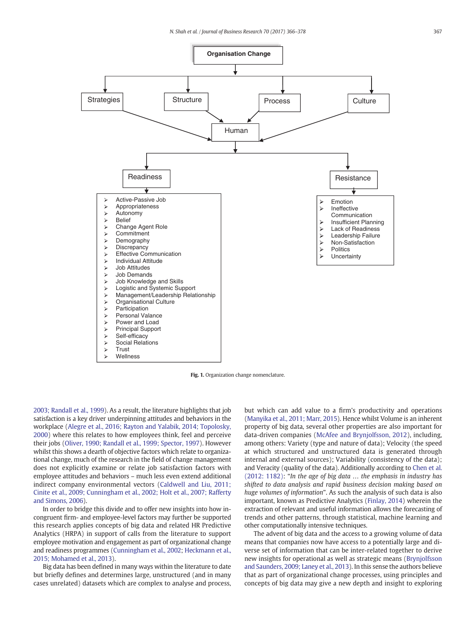<span id="page-1-0"></span>

Fig. 1. Organization change nomenclature.

[2003; Randall et al., 1999](#page-11-0)). As a result, the literature highlights that job satisfaction is a key driver underpinning attitudes and behaviors in the workplace [\(Alegre et al., 2016; Rayton and Yalabik, 2014; Topolosky,](#page-10-0) [2000\)](#page-10-0) where this relates to how employees think, feel and perceive their jobs [\(Oliver, 1990; Randall et al., 1999; Spector, 1997](#page-11-0)). However whilst this shows a dearth of objective factors which relate to organizational change, much of the research in the field of change management does not explicitly examine or relate job satisfaction factors with employee attitudes and behaviors – much less even extend additional indirect company environmental vectors [\(Caldwell and Liu, 2011;](#page-10-0) [Cinite et al., 2009; Cunningham et al., 2002; Holt et al., 2007; Rafferty](#page-10-0) [and Simons, 2006\)](#page-10-0).

In order to bridge this divide and to offer new insights into how incongruent firm- and employee-level factors may further be supported this research applies concepts of big data and related HR Predictive Analytics (HRPA) in support of calls from the literature to support employee motivation and engagement as part of organizational change and readiness programmes [\(Cunningham et al., 2002](#page-10-0); [Heckmann et al.,](#page-11-0) [2015; Mohamed et al., 2013\)](#page-11-0).

Big data has been defined in many ways within the literature to date but briefly defines and determines large, unstructured (and in many cases unrelated) datasets which are complex to analyse and process, but which can add value to a firm's productivity and operations [\(Manyika et al., 2011; Marr, 2015](#page-11-0)). Hence whilst Volume is an inherent property of big data, several other properties are also important for data-driven companies ([McAfee and Brynjolfsson, 2012](#page-11-0)), including, among others: Variety (type and nature of data); Velocity (the speed at which structured and unstructured data is generated through internal and external sources); Variability (consistency of the data); and Veracity (quality of the data). Additionally according to [Chen et al.](#page-10-0) [\(2012: 1182\):](#page-10-0) "In the age of big data … the emphasis in industry has shifted to data analysis and rapid business decision making based on huge volumes of information". As such the analysis of such data is also important, known as Predictive Analytics ([Finlay, 2014](#page-10-0)) wherein the extraction of relevant and useful information allows the forecasting of trends and other patterns, through statistical, machine learning and other computationally intensive techniques.

The advent of big data and the access to a growing volume of data means that companies now have access to a potentially large and diverse set of information that can be inter-related together to derive new insights for operational as well as strategic means [\(Brynjolfsson](#page-10-0) [and Saunders, 2009; Laney et al., 2013](#page-10-0)). In this sense the authors believe that as part of organizational change processes, using principles and concepts of big data may give a new depth and insight to exploring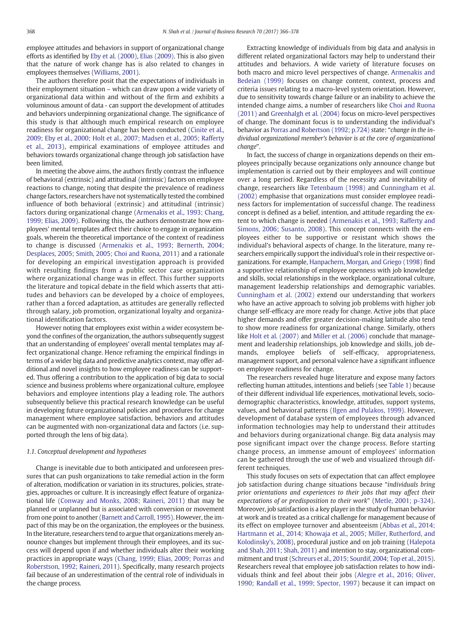employee attitudes and behaviors in support of organizational change efforts as identified by [Eby et al. \(2000\),](#page-10-0) [Elias \(2009\).](#page-10-0) This is also given that the nature of work change has is also related to changes in employees themselves ([Williams, 2001\)](#page-12-0).

The authors therefore posit that the expectations of individuals in their employment situation – which can draw upon a wide variety of organizational data within and without of the firm and exhibits a voluminous amount of data - can support the development of attitudes and behaviors underpinning organizational change. The significance of this study is that although much empirical research on employee readiness for organizational change has been conducted [\(Cinite et al.,](#page-10-0) [2009; Eby et al., 2000; Holt et al., 2007; Madsen et al., 2005; Rafferty](#page-10-0) [et al., 2013\)](#page-10-0), empirical examinations of employee attitudes and behaviors towards organizational change through job satisfaction have been limited.

In meeting the above aims, the authors firstly contrast the influence of behavioral (extrinsic) and attitudinal (intrinsic) factors on employee reactions to change, noting that despite the prevalence of readiness change factors, researchers have not systematically tested the combined influence of both behavioral (extrinsic) and attitudinal (intrinsic) factors during organizational change ([Armenakis et al., 1993; Chang,](#page-10-0) [1999; Elias, 2009\)](#page-10-0). Following this, the authors demonstrate how employees' mental templates affect their choice to engage in organization goals, wherein the theoretical importance of the context of readiness to change is discussed ([Armenakis et al., 1993; Bernerth, 2004;](#page-10-0) [Desplaces, 2005; Smith, 2005; Choi and Ruona, 2011\)](#page-10-0) and a rationale for developing an empirical investigation approach is provided with resulting findings from a public sector case organization where organizational change was in effect. This further supports the literature and topical debate in the field which asserts that attitudes and behaviors can be developed by a choice of employees, rather than a forced adaptation, as attitudes are generally reflected through salary, job promotion, organizational loyalty and organizational identification factors.

However noting that employees exist within a wider ecosystem beyond the confines of the organization, the authors subsequently suggest that an understanding of employees' overall mental templates may affect organizational change. Hence reframing the empirical findings in terms of a wider big data and predictive analytics context, may offer additional and novel insights to how employee readiness can be supported. Thus offering a contribution to the application of big data to social science and business problems where organizational culture, employee behaviors and employee intentions play a leading role. The authors subsequently believe this practical research knowledge can be useful in developing future organizational policies and procedures for change management where employee satisfaction, behaviors and attitudes can be augmented with non-organizational data and factors (i.e. supported through the lens of big data).

#### 1.1. Conceptual development and hypotheses

Change is inevitable due to both anticipated and unforeseen pressures that can push organizations to take remedial action in the form of alteration, modification or variation in its structures, policies, strategies, approaches or culture. It is increasingly effect feature of organizational life ([Conway and Monks, 2008; Raineri, 2011\)](#page-10-0) that may be planned or unplanned but is associated with conversion or movement from one point to another [\(Barnett and Carroll, 1995\)](#page-10-0). However, the impact of this may be on the organization, the employees or the business. In the literature, researchers tend to argue that organizations merely announce changes but implement through their employees, and its success will depend upon if and whether individuals alter their working practices in appropriate ways [\(Chang, 1999; Elias, 2009; Porras and](#page-10-0) [Roberstson, 1992; Raineri, 2011\)](#page-10-0). Specifically, many research projects fail because of an underestimation of the central role of individuals in the change process.

Extracting knowledge of individuals from big data and analysis in different related organizational factors may help to understand their attitudes and behaviors. A wide variety of literature focuses on both macro and micro level perspectives of change. [Armenakis and](#page-10-0) [Bedeian \(1999\)](#page-10-0) focuses on change content, context, process and criteria issues relating to a macro-level system orientation. However, due to sensitivity towards change failure or an inability to achieve the intended change aims, a number of researchers like [Choi and Ruona](#page-10-0) [\(2011\)](#page-10-0) and [Greenhalgh et al. \(2004\)](#page-11-0) focus on micro-level perspectives of change. The dominant focus is to understanding the individual's behavior as [Porras and Robertson \(1992; p.724\)](#page-11-0) state: "change in the individual organizational member's behavior is at the core of organizational change".

In fact, the success of change in organizations depends on their employees principally because organizations only announce change but implementation is carried out by their employees and will continue over a long period. Regardless of the necessity and inevitability of change, researchers like [Tetenbaum \(1998\)](#page-11-0) and [Cunningham et al.](#page-10-0) [\(2002\)](#page-10-0) emphasise that organizations must consider employee readiness factors for implementation of successful change. The readiness concept is defined as a belief, intention, and attitude regarding the extent to which change is needed ([Armenakis et al., 1993; Rafferty and](#page-10-0) [Simons, 2006; Susanto, 2008\)](#page-10-0). This concept connects with the employees either to be supportive or resistant which shows the individual's behavioral aspects of change. In the literature, many researchers empirically support the individual's role in their respective organizations. For example, [Hanpachern, Morgan, and Griego \(1998\)](#page-11-0) find a supportive relationship of employee openness with job knowledge and skills, social relationships in the workplace, organizational culture, management leadership relationships and demographic variables. [Cunningham et al. \(2002\)](#page-10-0) extend our understanding that workers who have an active approach to solving job problems with higher job change self-efficacy are more ready for change. Active jobs that place higher demands and offer greater decision-making latitude also tend to show more readiness for organizational change. Similarly, others like [Holt et al. \(2007\)](#page-11-0) and [Miller et al. \(2006\)](#page-11-0) conclude that management and leadership relationships, job knowledge and skills, job demands, employee beliefs of self-efficacy, appropriateness, management support, and personal valence have a significant influence on employee readiness for change.

The researchers revealed huge literature and expose many factors reflecting human attitudes, intentions and beliefs (see [Table 1](#page-3-0)) because of their different individual life experiences, motivational levels, sociodemographic characteristics, knowledge, attitudes, support systems, values, and behavioral patterns ([Ilgen and Pulakos, 1999\)](#page-11-0). However, development of database system of employees through advanced information technologies may help to understand their attitudes and behaviors during organizational change. Big data analysis may pose significant impact over the change process. Before starting change process, an immense amount of employees' information can be gathered through the use of web and visualized through different techniques.

This study focuses on sets of expectation that can affect employee job satisfaction during change situations because "individuals bring prior orientations and experiences to their jobs that may affect their expectations of or predisposition to their work" [\(Metle, 2001; p-324](#page-11-0)). Moreover, job satisfaction is a key player in the study of human behavior at work and is treated as a critical challenge for management because of its effect on employee turnover and absenteeism ([Abbas et al., 2014;](#page-10-0) [Hartmann et al., 2014; Khowaja et al., 2005; Miller, Rutherford, and](#page-10-0) [Kolodinsky's, 2008\)](#page-10-0), procedural justice and on job training [\(Halepota](#page-11-0) [and Shah, 2011; Shah, 2011](#page-11-0)) and intention to stay, organizational commitment and trust ([Schreurs et al., 2015; Sourdif, 2004; Top et al., 2015\)](#page-11-0). Researchers reveal that employee job satisfaction relates to how individuals think and feel about their jobs ([Alegre et al., 2016; Oliver,](#page-10-0) [1990; Randall et al., 1999; Spector, 1997\)](#page-10-0) because it can impact on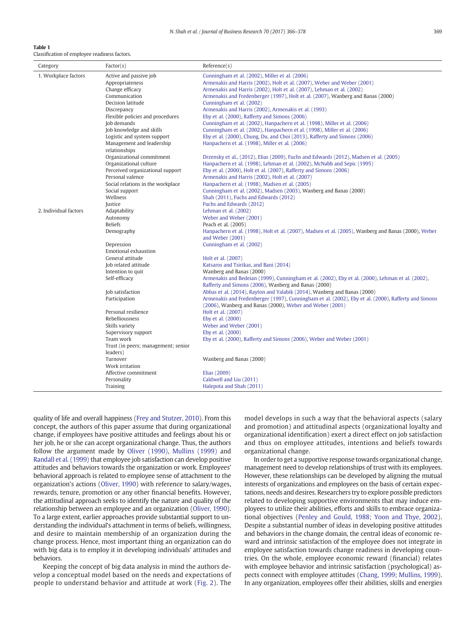#### <span id="page-3-0"></span>Table 1

Classification of employee readiness factors.

| Category              | Factor(s)                           | Reference(s)                                                                                        |
|-----------------------|-------------------------------------|-----------------------------------------------------------------------------------------------------|
| 1. Workplace factors  | Active and passive job              | Cunningham et al. (2002), Miller et al. (2006)                                                      |
|                       | Appropriateness                     | Armenakis and Harris (2002), Holt et al. (2007), Weber and Weber (2001)                             |
|                       | Change efficacy                     | Armenakis and Harris (2002), Holt et al. (2007), Lehman et al. (2002)                               |
|                       | Communication                       | Armenakis and Fredenberger (1997), Holt et al. (2007), Wanberg and Banas (2000)                     |
|                       | Decision latitude                   | Cunningham et al. (2002)                                                                            |
|                       | Discrepancy                         | Armenakis and Harris (2002), Armenakis et al. (1993)                                                |
|                       | Flexible policies and procedures    | Eby et al. (2000), Rafferty and Simons (2006)                                                       |
|                       | Job demands                         | Cunningham et al. (2002), Hanpachern et al. (1998), Miller et al. (2006)                            |
|                       | Job knowledge and skills            | Cunningham et al. (2002), Hanpachern et al. (1998), Miller et al. (2006)                            |
|                       | Logistic and system support         | Eby et al. (2000), Chung, Du, and Choi (2013), Rafferty and Simons (2006)                           |
|                       | Management and leadership           | Hanpachern et al. (1998), Miller et al. (2006)                                                      |
|                       | relationships                       |                                                                                                     |
|                       | Organizational commitment           | Drzensky et al., (2012), Elias (2009), Fuchs and Edwards (2012), Madsen et al. (2005)               |
|                       | Organizational culture              | Hanpachern et al. (1998), Lehman et al. (2002), McNabb and Sepic (1995)                             |
|                       | Perceived organizational support    | Eby et al. (2000), Holt et al. (2007), Rafferty and Simons (2006)                                   |
|                       | Personal valence                    | Armenakis and Harris (2002), Holt et al. (2007)                                                     |
|                       | Social relations in the workplace   | Hanpachern et al. (1998), Madsen et al. (2005)                                                      |
|                       | Social support                      | Cunningham et al. (2002), Madsen (2003), Wanberg and Banas (2000)                                   |
|                       | Wellness                            | Shah (2011), Fuchs and Edwards (2012)                                                               |
|                       | <b>Justice</b>                      | Fuchs and Edwards (2012)                                                                            |
| 2. Individual factors | Adaptability                        | Lehman et al. (2002)                                                                                |
| Autonomy              |                                     | Weber and Weber (2001)                                                                              |
|                       | <b>Beliefs</b>                      | Peach et al. (2005)                                                                                 |
|                       | Demography                          | Hanpachern et al. (1998), Holt et al. (2007), Madsen et al. (2005), Wanberg and Banas (2000), Weber |
|                       |                                     | and Weber $(2001)$                                                                                  |
|                       | Depression                          | Cunningham et al. (2002)                                                                            |
|                       | Emotional exhaustion                |                                                                                                     |
|                       | General attitude                    | Holt et al. (2007)                                                                                  |
|                       | Job related attitude                | Katsaros and Tsirikas, and Bani (2014)                                                              |
|                       | Intention to quit                   | Wanberg and Banas (2000)                                                                            |
|                       | Self-efficacy                       | Armenakis and Bedeian (1999), Cunningham et al. (2002), Eby et al. (2000), Lehman et al. (2002),    |
|                       |                                     | Rafferty and Simons (2006), Wanberg and Banas (2000)                                                |
|                       | Job satisfaction                    | Abbas et al. (2014), Rayton and Yalabik (2014), Wanberg and Banas (2000)                            |
|                       | Participation                       | Armenakis and Fredenberger (1997), Cunningham et al. (2002), Eby et al. (2000), Rafferty and Simons |
|                       |                                     | (2006), Wanberg and Banas (2000), Weber and Weber (2001)                                            |
|                       | Personal resilience                 | Holt et al. (2007)                                                                                  |
|                       | Rebelliousness                      | Eby et al. (2000)                                                                                   |
|                       | Skills variety                      | Weber and Weber (2001)                                                                              |
|                       | Supervisory support                 | Eby et al. (2000)                                                                                   |
|                       | Team work                           | Eby et al. (2000), Rafferty and Simons (2006), Weber and Weber (2001)                               |
|                       | Trust (in peers; management; senior |                                                                                                     |
|                       | leaders)                            |                                                                                                     |
|                       | Turnover                            | Wanberg and Banas (2000)                                                                            |
|                       | Work irritation                     |                                                                                                     |
|                       | Affective commitment                | Elias (2009)                                                                                        |
|                       | Personality                         | Caldwell and Liu (2011)                                                                             |
|                       | Training                            | Halepota and Shah (2011)                                                                            |
|                       |                                     |                                                                                                     |

quality of life and overall happiness [\(Frey and Stutzer, 2010\)](#page-10-0). From this concept, the authors of this paper assume that during organizational change, if employees have positive attitudes and feelings about his or her job, he or she can accept organizational change. Thus, the authors follow the argument made by [Oliver \(1990\)](#page-11-0), [Mullins \(1999\)](#page-11-0) and [Randall et al. \(1999\)](#page-11-0) that employee job satisfaction can develop positive attitudes and behaviors towards the organization or work. Employees' behavioral approach is related to employee sense of attachment to the organization's actions [\(Oliver, 1990\)](#page-11-0) with reference to salary/wages, rewards, tenure, promotion or any other financial benefits. However, the attitudinal approach seeks to identify the nature and quality of the relationship between an employee and an organization [\(Oliver, 1990](#page-11-0)). To a large extent, earlier approaches provide substantial support to understanding the individual's attachment in terms of beliefs, willingness, and desire to maintain membership of an organization during the change process. Hence, most important thing an organization can do with big data is to employ it in developing individuals' attitudes and behaviors.

Keeping the concept of big data analysis in mind the authors develop a conceptual model based on the needs and expectations of people to understand behavior and attitude at work ([Fig. 2](#page-4-0)). The

model develops in such a way that the behavioral aspects (salary and promotion) and attitudinal aspects (organizational loyalty and organizational identification) exert a direct effect on job satisfaction and thus on employee attitudes, intentions and beliefs towards organizational change.

In order to get a supportive response towards organizational change, management need to develop relationships of trust with its employees. However, these relationships can be developed by aligning the mutual interests of organizations and employees on the basis of certain expectations, needs and desires. Researchers try to explore possible predictors related to developing supportive environments that may induce employees to utilize their abilities, efforts and skills to embrace organizational objectives ([Penley and Gould, 1988; Yoon and Thye, 2002](#page-11-0)). Despite a substantial number of ideas in developing positive attitudes and behaviors in the change domain, the central ideas of economic reward and intrinsic satisfaction of the employee does not integrate in employee satisfaction towards change readiness in developing countries. On the whole, employee economic reward (financial) relates with employee behavior and intrinsic satisfaction (psychological) aspects connect with employee attitudes ([Chang, 1999; Mullins, 1999](#page-10-0)). In any organization, employees offer their abilities, skills and energies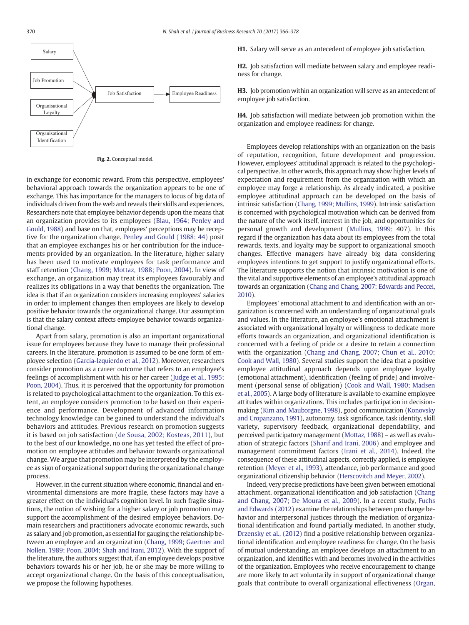<span id="page-4-0"></span>

Fig. 2. Conceptual model.

in exchange for economic reward. From this perspective, employees' behavioral approach towards the organization appears to be one of exchange. This has importance for the managers to locus of big data of individuals driven from the web and reveals their skills and experiences. Researchers note that employee behavior depends upon the means that an organization provides to its employees [\(Blau, 1964; Penley and](#page-10-0) [Gould, 1988](#page-10-0)) and base on that, employees' perceptions may be receptive for the organization change. [Penley and Gould \(1988: 44\)](#page-11-0) posit that an employee exchanges his or her contribution for the inducements provided by an organization. In the literature, higher salary has been used to motivate employees for task performance and staff retention ([Chang, 1999; Mottaz, 1988; Poon, 2004\)](#page-10-0). In view of exchange, an organization may treat its employees favourably and realizes its obligations in a way that benefits the organization. The idea is that if an organization considers increasing employees' salaries in order to implement changes then employees are likely to develop positive behavior towards the organizational change. Our assumption is that the salary context affects employee behavior towards organizational change.

Apart from salary, promotion is also an important organizational issue for employees because they have to manage their professional careers. In the literature, promotion is assumed to be one form of employee selection [\(Garcia-lzquierdo et al., 2012\)](#page-10-0). Moreover, researchers consider promotion as a career outcome that refers to an employee's feelings of accomplishment with his or her career ([Judge et al., 1995;](#page-11-0) [Poon, 2004](#page-11-0)). Thus, it is perceived that the opportunity for promotion is related to psychological attachment to the organization. To this extent, an employee considers promotion to be based on their experience and performance. Development of advanced information technology knowledge can be gained to understand the individual's behaviors and attitudes. Previous research on promotion suggests it is based on job satisfaction ([de Sousa, 2002; Kosteas, 2011](#page-10-0)), but to the best of our knowledge, no one has yet tested the effect of promotion on employee attitudes and behavior towards organizational change. We argue that promotion may be interpreted by the employee as sign of organizational support during the organizational change process.

However, in the current situation where economic, financial and environmental dimensions are more fragile, these factors may have a greater effect on the individual's cognition level. In such fragile situations, the notion of wishing for a higher salary or job promotion may support the accomplishment of the desired employee behaviors. Domain researchers and practitioners advocate economic rewards, such as salary and job promotion, as essential for gauging the relationship between an employee and an organization ([Chang, 1999; Gaertner and](#page-10-0) [Nollen, 1989; Poon, 2004; Shah and Irani, 2012](#page-10-0)). With the support of the literature, the authors suggest that, if an employee develops positive behaviors towards his or her job, he or she may be more willing to accept organizational change. On the basis of this conceptualisation, we propose the following hypotheses.

H1. Salary will serve as an antecedent of employee job satisfaction.

H2. Job satisfaction will mediate between salary and employee readiness for change.

H3. Job promotion within an organization will serve as an antecedent of employee job satisfaction.

H4. Job satisfaction will mediate between job promotion within the organization and employee readiness for change.

Employees develop relationships with an organization on the basis of reputation, recognition, future development and progression. However, employees' attitudinal approach is related to the psychological perspective. In other words, this approach may show higher levels of expectation and requirement from the organization with which an employee may forge a relationship. As already indicated, a positive employee attitudinal approach can be developed on the basis of intrinsic satisfaction [\(Chang, 1999; Mullins, 1999\)](#page-10-0). Intrinsic satisfaction is concerned with psychological motivation which can be derived from the nature of the work itself, interest in the job, and opportunities for personal growth and development ([Mullins, 1999](#page-11-0): 407). In this regard if the organization has data about its employees from the total rewards, texts, and loyalty may be support to organizational smooth changes. Effective managers have already big data considering employees intentions to get support to justify organizational efforts. The literature supports the notion that intrinsic motivation is one of the vital and supportive elements of an employee's attitudinal approach towards an organization [\(Chang and Chang, 2007; Edwards and Peccei,](#page-10-0) [2010\)](#page-10-0).

Employees' emotional attachment to and identification with an organization is concerned with an understanding of organizational goals and values. In the literature, an employee's emotional attachment is associated with organizational loyalty or willingness to dedicate more efforts towards an organization, and organizational identification is concerned with a feeling of pride or a desire to retain a connection with the organization [\(Chang and Chang, 2007; Chun et al., 2010;](#page-10-0) [Cook and Wall, 1980](#page-10-0)). Several studies support the idea that a positive employee attitudinal approach depends upon employee loyalty (emotional attachment), identification (feeling of pride) and involvement (personal sense of obligation) [\(Cook and Wall, 1980; Madsen](#page-10-0) [et al., 2005\)](#page-10-0). A large body of literature is available to examine employee attitudes within organizations. This includes participation in decisionmaking [\(Kim and Mauborgne, 1998](#page-11-0)), good communication ([Konovsky](#page-11-0) [and Cropanzano, 1991](#page-11-0)), autonomy, task significance, task identity, skill variety, supervisory feedback, organizational dependability, and perceived participatory management [\(Mottaz, 1988\)](#page-11-0) – as well as evaluation of strategic factors ([Sharif and Irani, 2006](#page-11-0)) and employee and management commitment factors [\(Irani et al., 2014\)](#page-11-0). Indeed, the consequence of these attitudinal aspects, correctly applied, is employee retention ([Meyer et al., 1993\)](#page-11-0), attendance, job performance and good organizational citizenship behavior ([Herscovitch and Meyer, 2002](#page-11-0)).

Indeed, very precise predictions have been given between emotional attachment, organizational identification and job satisfaction ([Chang](#page-10-0) [and Chang, 2007; De Moura et al., 2009\)](#page-10-0). In a recent study, [Fuchs](#page-10-0) [and Edwards \(2012\)](#page-10-0) examine the relationships between pro change behavior and interpersonal justices through the mediation of organizational identification and found partially mediated. In another study, [Drzensky et al., \(2012\)](#page-10-0) find a positive relationship between organizational identification and employee readiness for change. On the basis of mutual understanding, an employee develops an attachment to an organization, and identifies with and becomes involved in the activities of the organization. Employees who receive encouragement to change are more likely to act voluntarily in support of organizational change goals that contribute to overall organizational effectiveness ([Organ,](#page-11-0)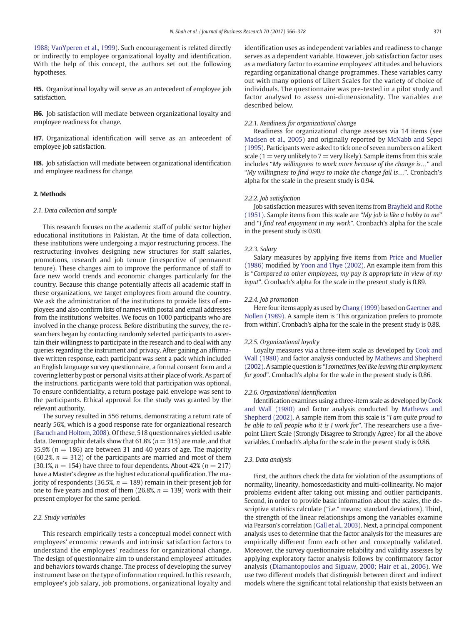<span id="page-5-0"></span>[1988; VanYperen et al., 1999](#page-11-0)). Such encouragement is related directly or indirectly to employee organizational loyalty and identification. With the help of this concept, the authors set out the following hypotheses.

H5. Organizational loyalty will serve as an antecedent of employee job satisfaction.

H6. Job satisfaction will mediate between organizational loyalty and employee readiness for change.

H7. Organizational identification will serve as an antecedent of employee job satisfaction.

H8. Job satisfaction will mediate between organizational identification and employee readiness for change.

# 2. Methods

#### 2.1. Data collection and sample

This research focuses on the academic staff of public sector higher educational institutions in Pakistan. At the time of data collection, these institutions were undergoing a major restructuring process. The restructuring involves designing new structures for staff salaries, promotions, research and job tenure (irrespective of permanent tenure). These changes aim to improve the performance of staff to face new world trends and economic changes particularly for the country. Because this change potentially affects all academic staff in these organizations, we target employees from around the country. We ask the administration of the institutions to provide lists of employees and also confirm lists of names with postal and email addresses from the institutions' websites. We focus on 1000 participants who are involved in the change process. Before distributing the survey, the researchers began by contacting randomly selected participants to ascertain their willingness to participate in the research and to deal with any queries regarding the instrument and privacy. After gaining an affirmative written response, each participant was sent a pack which included an English language survey questionnaire, a formal consent form and a covering letter by post or personal visits at their place of work. As part of the instructions, participants were told that participation was optional. To ensure confidentiality, a return postage paid envelope was sent to the participants. Ethical approval for the study was granted by the relevant authority.

The survey resulted in 556 returns, demonstrating a return rate of nearly 56%, which is a good response rate for organizational research [\(Baruch and Holtom, 2008](#page-10-0)). Of these, 518 questionnaires yielded usable data. Demographic details show that 61.8% ( $n = 315$ ) are male, and that 35.9% ( $n = 186$ ) are between 31 and 40 years of age. The majority  $(60.2\%, n = 312)$  of the participants are married and most of them (30.1%,  $n = 154$ ) have three to four dependents. About 42% ( $n = 217$ ) have a Master's degree as the highest educational qualification. The majority of respondents (36.5%,  $n = 189$ ) remain in their present job for one to five years and most of them (26.8%,  $n = 139$ ) work with their present employer for the same period.

# 2.2. Study variables

This research empirically tests a conceptual model connect with employees' economic rewards and intrinsic satisfaction factors to understand the employees' readiness for organizational change. The design of questionnaire aim to understand employees' attitudes and behaviors towards change. The process of developing the survey instrument base on the type of information required. In this research, employee's job salary, job promotions, organizational loyalty and

identification uses as independent variables and readiness to change serves as a dependent variable. However, job satisfaction factor uses as a mediatory factor to examine employees' attitudes and behaviors regarding organizational change programmes. These variables carry out with many options of Likert Scales for the variety of choice of individuals. The questionnaire was pre-tested in a pilot study and factor analysed to assess uni-dimensionality. The variables are described below.

# 2.2.1. Readiness for organizational change

Readiness for organizational change assesses via 14 items (see [Madsen et al., 2005](#page-11-0)) and originally reported by [McNabb and Sepci](#page-11-0) [\(1995\)](#page-11-0). Participants were asked to tick one of seven numbers on a Likert scale (1 = very unlikely to 7 = very likely). Sample items from this scale includes "My willingness to work more because of the change is…" and "My willingness to find ways to make the change fail is…". Cronbach's alpha for the scale in the present study is 0.94.

#### 2.2.2. Job satisfaction

Job satisfaction measures with seven items from Brayfi[eld and Rothe](#page-10-0) [\(1951\)](#page-10-0). Sample items from this scale are "My job is like a hobby to me" and "I find real enjoyment in my work". Cronbach's alpha for the scale in the present study is 0.90.

#### 2.2.3. Salary

Salary measures by applying five items from [Price and Mueller](#page-11-0) [\(1986\)](#page-11-0) modified by [Yoon and Thye \(2002\)](#page-12-0). An example item from this is "Compared to other employees, my pay is appropriate in view of my input". Cronbach's alpha for the scale in the present study is 0.89.

#### 2.2.4. Job promotion

Here four items apply as used by [Chang \(1999\)](#page-10-0) based on [Gaertner and](#page-10-0) [Nollen \(1989\)](#page-10-0). A sample item is 'This organization prefers to promote from within'. Cronbach's alpha for the scale in the present study is 0.88.

#### 2.2.5. Organizational loyalty

Loyalty measures via a three-item scale as developed by [Cook and](#page-10-0) [Wall \(1980\)](#page-10-0) and factor analysis conducted by [Mathews and Shepherd](#page-11-0) [\(2002\).](#page-11-0) A sample question is "I sometimes feel like leaving this employment for good". Cronbach's alpha for the scale in the present study is 0.86.

#### 2.2.6. Organizational identification

Identification examines using a three-item scale as developed by [Cook](#page-10-0) [and Wall \(1980\)](#page-10-0) and factor analysis conducted by [Mathews and](#page-11-0) [Shepherd \(2002\).](#page-11-0) A sample item from this scale is "I am quite proud to be able to tell people who it is I work for". The researchers use a fivepoint Likert Scale (Strongly Disagree to Strongly Agree) for all the above variables. Cronbach's alpha for the scale in the present study is 0.86.

#### 2.3. Data analysis

First, the authors check the data for violation of the assumptions of normality, linearity, homoscedasticity and multi-collinearity. No major problems evident after taking out missing and outlier participants. Second, in order to provide basic information about the scales, the descriptive statistics calculate ("i.e." means; standard deviations). Third, the strength of the linear relationships among the variables examine via Pearson's correlation [\(Gall et al., 2003\)](#page-10-0). Next, a principal component analysis uses to determine that the factor analysis for the measures are empirically different from each other and conceptually validated. Moreover, the survey questionnaire reliability and validity assesses by applying exploratory factor analysis follows by confirmatory factor analysis [\(Diamantopoulos and Siguaw, 2000; Hair et al., 2006\)](#page-10-0). We use two different models that distinguish between direct and indirect models where the significant total relationship that exists between an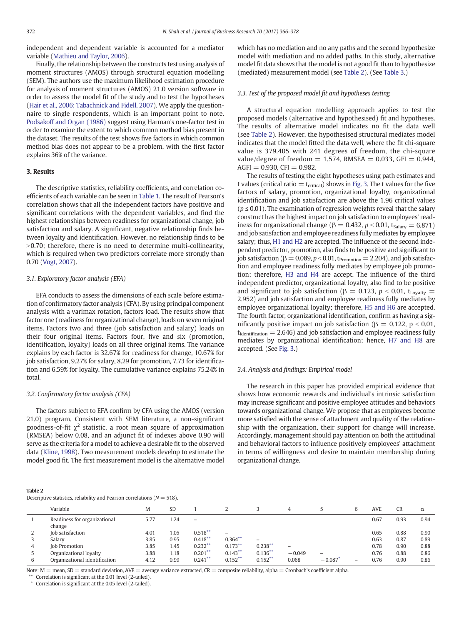independent and dependent variable is accounted for a mediator variable ([Mathieu and Taylor, 2006\)](#page-11-0).

Finally, the relationship between the constructs test using analysis of moment structures (AMOS) through structural equation modelling (SEM). The authors use the maximum likelihood estimation procedure for analysis of moment structures (AMOS) 21.0 version software in order to assess the model fit of the study and to test the hypotheses [\(Hair et al., 2006; Tabachnick and Fidell, 2007\)](#page-11-0). We apply the questionnaire to single respondents, which is an important point to note. [Podsakoff and Organ \(1986\)](#page-11-0) suggest using Harman's one-factor test in order to examine the extent to which common method bias present in the dataset. The results of the test shows five factors in which common method bias does not appear to be a problem, with the first factor explains 36% of the variance.

# 3. Results

The descriptive statistics, reliability coefficients, and correlation coefficients of each variable can be seen in [Table 1.](#page-3-0) The result of Pearson's correlation shows that all the independent factors have positive and significant correlations with the dependent variables, and find the highest relationships between readiness for organizational change, job satisfaction and salary. A significant, negative relationship finds between loyalty and identification. However, no relationship finds to be  $>0.70$ ; therefore, there is no need to determine multi-collinearity, which is required when two predictors correlate more strongly than 0.70 [\(Vogt, 2007\)](#page-12-0).

### 3.1. Exploratory factor analysis (EFA)

EFA conducts to assess the dimensions of each scale before estimation of confirmatory factor analysis (CFA). By using principal component analysis with a varimax rotation, factors load. The results show that factor one (readiness for organizational change), loads on seven original items. Factors two and three (job satisfaction and salary) loads on their four original items. Factors four, five and six (promotion, identification, loyalty) loads on all three original items. The variance explains by each factor is 32.67% for readiness for change, 10.67% for job satisfaction, 9.27% for salary, 8.29 for promotion, 7.73 for identification and 6.59% for loyalty. The cumulative variance explains 75.24% in total.

### 3.2. Confirmatory factor analysis (CFA)

The factors subject to EFA confirm by CFA using the AMOS (version 21.0) program. Consistent with SEM literature, a non-significant goodness-of-fit  $\chi^2$  statistic, a root mean square of approximation (RMSEA) below 0.08, and an adjunct fit of indexes above 0.90 will serve as the criteria for a model to achieve a desirable fit to the observed data ([Kline, 1998](#page-11-0)). Two measurement models develop to estimate the model good fit. The first measurement model is the alternative model

| Table 2                                                                     |
|-----------------------------------------------------------------------------|
| Descriptive statistics, reliability and Pearson correlations ( $N = 518$ ). |

which has no mediation and no any paths and the second hypothesize model with mediation and no added paths. In this study, alternative model fit data shows that the model is not a good fit than to hypothesize (mediated) measurement model (see Table 2). (See [Table 3](#page-7-0).)

## 3.3. Test of the proposed model fit and hypotheses testing

A structural equation modelling approach applies to test the proposed models (alternative and hypothesised) fit and hypotheses. The results of alternative model indicates no fit the data well (see Table 2). However, the hypothesised structural mediates model indicates that the model fitted the data well, where the fit chi-square value is 379.405 with 241 degrees of freedom, the chi-square value/degree of freedom = 1.574, RMSEA =  $0.033$ , GFI = 0.944,  $AGFI = 0.930$ , CFI = 0.982.

The results of testing the eight hypotheses using path estimates and t values (critical ratio  $=$  t<sub>critical</sub>) shows in [Fig. 3](#page-7-0). The t values for the five factors of salary, promotion, organizational loyalty, organizational identification and job satisfaction are above the 1.96 critical values ( $p \leq 0.01$ ). The examination of regression weights reveal that the salary construct has the highest impact on job satisfaction to employees' readiness for organizational change ( $\beta = 0.432$ ,  $p < 0.01$ , t<sub>Salary</sub> = 6.871) and job satisfaction and employee readiness fully mediates by employee salary; thus, [H1 and H2](#page-4-0) are accepted. The influence of the second independent predictor, promotion, also finds to be positive and significant to job satisfaction ( $\beta = 0.089$ ,  $p < 0.01$ , t<sub>Promotion</sub> = 2.204), and job satisfaction and employee readiness fully mediates by employee job promotion; therefore, [H3 and H4](#page-4-0) are accept. The influence of the third independent predictor, organizational loyalty, also find to be positive and significant to job satisfaction ( $\beta = 0.123$ ,  $p < 0.01$ , t<sub>Loyalty</sub> = 2.952) and job satisfaction and employee readiness fully mediates by employee organizational loyalty; therefore, [H5 and H6](#page-5-0) are accepted. The fourth factor, organizational identification, confirm as having a significantly positive impact on job satisfaction ( $\beta = 0.122$ , p < 0.01,  $t_{\text{Identification}} = 2.646$ ) and job satisfaction and employee readiness fully mediates by organizational identification; hence, [H7 and H8](#page-5-0) are accepted. (See [Fig. 3](#page-7-0).)

### 3.4. Analysis and findings: Empirical model

The research in this paper has provided empirical evidence that shows how economic rewards and individual's intrinsic satisfaction may increase significant and positive employee attitudes and behaviors towards organizational change. We propose that as employees become more satisfied with the sense of attachment and quality of the relationship with the organization, their support for change will increase. Accordingly, management should pay attention on both the attitudinal and behavioral factors to influence positively employees' attachment in terms of willingness and desire to maintain membership during organizational change.

| Variable                               | M    | <b>SD</b> |            |            |                          |          |                          | 6                        | <b>AVE</b> | <b>CR</b> | $\alpha$ |
|----------------------------------------|------|-----------|------------|------------|--------------------------|----------|--------------------------|--------------------------|------------|-----------|----------|
| Readiness for organizational<br>change | 5.77 | . 24      |            |            |                          |          |                          |                          | 0.67       | 0.93      | 0.94     |
| Job satisfaction                       | 4.01 | 1.05      | $0.518***$ |            |                          |          |                          |                          | 0.65       | 0.88      | 0.90     |
| Salary                                 | 3.85 | 0.95      | $0.418***$ | $0.364***$ | $\overline{\phantom{m}}$ |          |                          |                          | 0.63       | 0.87      | 0.89     |
| <b>Iob Promotion</b>                   | 3.85 | 1.45      | $0.232***$ | $0.173***$ | $0.238***$               | -        |                          |                          | 0.78       | 0.90      | 0.88     |
| Organizational loyalty                 | 3.88 | 1.18      | $0.201***$ | $0.143***$ | $0.136***$               | $-0.049$ | $\overline{\phantom{0}}$ |                          | 0.76       | 0.88      | 0.86     |
| Organizational identification          | 4.12 | 0.99      | $0.241***$ | $0.152***$ | $0.152***$               | 0.068    | $-0.087$                 | $\overline{\phantom{0}}$ | 0.76       | 0.90      | 0.86     |

Note:  $M =$  mean, SD = standard deviation, AVE = average variance extracted, CR = composite reliability, alpha = Cronbach's coefficient alpha.

⁎⁎ Correlation is significant at the 0.01 level (2-tailed).

⁎ Correlation is significant at the 0.05 level (2-tailed).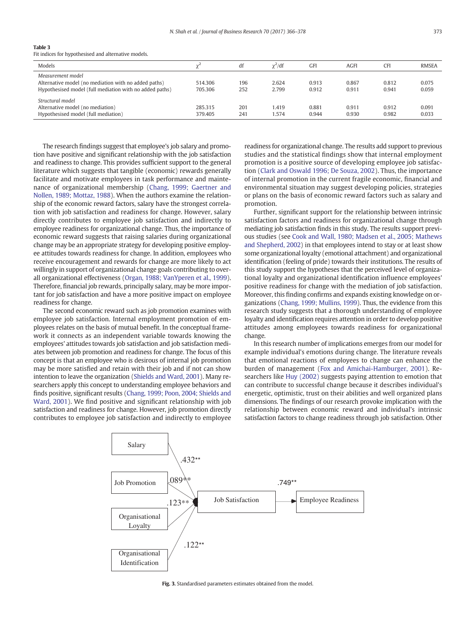<span id="page-7-0"></span>

|--|--|

Fit indices for hypothesised and alternative models.

| Models                                                                                                                               |                    | df         | $\chi^2$ /df   | GFI            | AGFI           | <b>CFI</b>     | <b>RMSEA</b>   |
|--------------------------------------------------------------------------------------------------------------------------------------|--------------------|------------|----------------|----------------|----------------|----------------|----------------|
| Measurement model<br>Alternative model (no mediation with no added paths)<br>Hypothesised model (full mediation with no added paths) | 514.306<br>705.306 | 196<br>252 | 2.624<br>2.799 | 0.913<br>0.912 | 0.867<br>0.911 | 0.812<br>0.941 | 0.075<br>0.059 |
| Structural model<br>Alternative model (no mediation)<br>Hypothesised model (full mediation)                                          | 285.315<br>379.405 | 201<br>241 | 1.419<br>1.574 | 0.881<br>0.944 | 0.911<br>0.930 | 0.912<br>0.982 | 0.091<br>0.033 |

The research findings suggest that employee's job salary and promotion have positive and significant relationship with the job satisfaction and readiness to change. This provides sufficient support to the general literature which suggests that tangible (economic) rewards generally facilitate and motivate employees in task performance and maintenance of organizational membership ([Chang, 1999; Gaertner and](#page-10-0) [Nollen, 1989; Mottaz, 1988](#page-10-0)). When the authors examine the relationship of the economic reward factors, salary have the strongest correlation with job satisfaction and readiness for change. However, salary directly contributes to employee job satisfaction and indirectly to employee readiness for organizational change. Thus, the importance of economic reward suggests that raising salaries during organizational change may be an appropriate strategy for developing positive employee attitudes towards readiness for change. In addition, employees who receive encouragement and rewards for change are more likely to act willingly in support of organizational change goals contributing to overall organizational effectiveness ([Organ, 1988; VanYperen et al., 1999](#page-11-0)). Therefore, financial job rewards, principally salary, may be more important for job satisfaction and have a more positive impact on employee readiness for change.

The second economic reward such as job promotion examines with employee job satisfaction. Internal employment promotion of employees relates on the basis of mutual benefit. In the conceptual framework it connects as an independent variable towards knowing the employees' attitudes towards job satisfaction and job satisfaction mediates between job promotion and readiness for change. The focus of this concept is that an employee who is desirous of internal job promotion may be more satisfied and retain with their job and if not can show intention to leave the organization [\(Shields and Ward, 2001\)](#page-11-0). Many researchers apply this concept to understanding employee behaviors and finds positive, significant results [\(Chang, 1999; Poon, 2004; Shields and](#page-10-0) [Ward, 2001](#page-10-0)). We find positive and significant relationship with job satisfaction and readiness for change. However, job promotion directly contributes to employee job satisfaction and indirectly to employee readiness for organizational change. The results add support to previous studies and the statistical findings show that internal employment promotion is a positive source of developing employee job satisfaction ([Clark and Oswald 1996; De Souza, 2002](#page-10-0)). Thus, the importance of internal promotion in the current fragile economic, financial and environmental situation may suggest developing policies, strategies or plans on the basis of economic reward factors such as salary and promotion.

Further, significant support for the relationship between intrinsic satisfaction factors and readiness for organizational change through mediating job satisfaction finds in this study. The results support previous studies (see [Cook and Wall, 1980; Madsen et al., 2005; Mathews](#page-10-0) [and Shepherd, 2002\)](#page-10-0) in that employees intend to stay or at least show some organizational loyalty (emotional attachment) and organizational identification (feeling of pride) towards their institutions. The results of this study support the hypotheses that the perceived level of organizational loyalty and organizational identification influence employees' positive readiness for change with the mediation of job satisfaction. Moreover, this finding confirms and expands existing knowledge on organizations [\(Chang, 1999; Mullins, 1999](#page-10-0)). Thus, the evidence from this research study suggests that a thorough understanding of employee loyalty and identification requires attention in order to develop positive attitudes among employees towards readiness for organizational change.

In this research number of implications emerges from our model for example individual's emotions during change. The literature reveals that emotional reactions of employees to change can enhance the burden of management ([Fox and Amichai-Hamburger, 2001](#page-10-0)). Researchers like [Huy \(2002\)](#page-11-0) suggests paying attention to emotion that can contribute to successful change because it describes individual's energetic, optimistic, trust on their abilities and well organized plans dimensions. The findings of our research provoke implication with the relationship between economic reward and individual's intrinsic satisfaction factors to change readiness through job satisfaction. Other



Fig. 3. Standardised parameters estimates obtained from the model.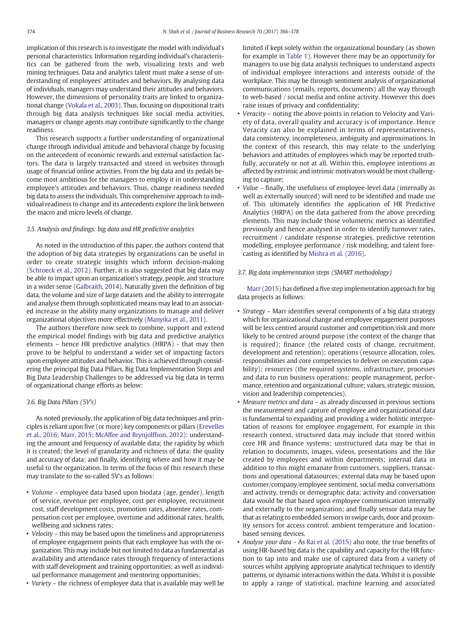implication of this research is to investigate the model with individual's personal characteristics. Information regarding individual's characteristics can be gathered from the web, visualizing texts and web mining techniques. Data and analytics talent must make a sense of understanding of employees' attitudes and behaviors. By analysing data of individuals, managers may understand their attitudes and behaviors. However, the dimensions of personality traits are linked to organizational change [\(Vokala et al., 2003\)](#page-12-0). Thus, focusing on dispositional traits through big data analysis techniques like social media activities, managers or change agents may contribute significantly to the change readiness.

This research supports a further understanding of organizational change through individual attitude and behavioral change by focusing on the antecedent of economic rewards and external satisfaction factors. The data is largely transacted and stored in websites through usage of financial online activities. From the big data and its pedals become most ambitious for the managers to employ it in understanding employee's attitudes and behaviors. Thus, change readiness needed big data to assess the individuals. This comprehensive approach to individual readiness to change and its antecedents explore the link between the macro and micro levels of change.

#### 3.5. Analysis and findings: big data and HR predictive analytics

As noted in the introduction of this paper, the authors contend that the adoption of big data strategies by organizations can be useful in order to create strategic insights which inform decision-making [\(Schroeck et al., 2012\)](#page-11-0). Further, it is also suggested that big data may be able to impact upon an organization's strategy, people, and structure in a wider sense ([Galbraith, 2014](#page-10-0)). Naturally given the definition of big data, the volume and size of large datasets and the ability to interrogate and analyse them through sophisticated means may lead to an associated increase in the ability many organizations to manage and deliver organizational objectives more effectively ([Manyika et al., 2011](#page-11-0)).

The authors therefore now seek to combine, support and extend the empirical model findings with big data and predictive analytics elements – hence HR predictive analytics (HRPA) - that may then prove to be helpful to understand a wider set of impacting factors upon employee attitudes and behavior. This is achieved through considering the principal Big Data Pillars, Big Data Implementation Steps and Big Data Leadership Challenges to be addressed via big data in terms of organizational change efforts as below:

# 3.6. Big Data Pillars (5V's)

As noted previously, the application of big data techniques and principles is reliant upon five (or more) key components or pillars [\(Erevelles](#page-10-0) [et al., 2016; Marr, 2015; McAffee and Brynjolffson, 2012\)](#page-10-0): understanding the amount and frequency of available data; the rapidity by which it is created; the level of granularity and richness of data; the quality and accuracy of data; and finally, identifying where and how it may be useful to the organization. In terms of the focus of this research these may translate to the so-called 5V's as follows:

- Volume employee data based upon biodata (age, gender), length of service, revenue per employee, cost per employee, recruitment cost, staff development costs, promotion rates, absentee rates, compensation cost per employee, overtime and additional rates, health, wellbeing and sickness rates;
- Velocity this may be based upon the timeliness and appropriateness of employee engagement points that each employee has with the organization. This may include but not limited to data as fundamental as availability and attendance rates through frequency of interactions with staff development and training opportunities; as well as individual performance management and mentoring opportunities;
- Variety the richness of employee data that is available may well be

limited if kept solely within the organizational boundary (as shown for example in [Table 1\)](#page-3-0). However there may be an opportunity for managers to use big data analysis techniques to understand aspects of individual employee interactions and interests outside of the workplace. This may be through sentiment analysis of organizational communications (emails, reports, documents) all the way through to web-based / social media and online activity. However this does raise issues of privacy and confidentiality;

- Veracity noting the above points in relation to Velocity and Variety of data, overall quality and accuracy is of importance. Hence Veracity can also be explained in terms of representativeness, data consistency, incompleteness, ambiguity and approximations. In the context of this research, this may relate to the underlying behaviors and attitudes of employees which may be reported truthfully, accurately or not at all. Within this, employee intentions as affected by extrinsic and intrinsic motivators would be most challenging to capture;
- Value finally, the usefulness of employee-level data (internally as well as externally sourced) will need to be identified and made use of. This ultimately identifies the application of HR Predictive Analytics (HRPA) on the data gathered from the above preceding elements. This may include those volumetric metrics as identified previously and hence analysed in order to identify turnover rates, recruitment / candidate response strategies, predictive retention modelling, employee performance / risk modelling, and talent forecasting as identified by [Mishra et al. \(2016\).](#page-11-0)

#### 3.7. Big data implementation steps (SMART methodology)

[Marr \(2015\)](#page-11-0) has defined a five step implementation approach for big data projects as follows:

- Strategy Marr identifies several components of a big data strategy which for organizational change and employee engagement purposes will be less centred around customer and competition/risk and more likely to be centred around purpose (the context of the change that is required); finance (the related costs of change, recruitment, development and retention); operations (resource allocation, roles, responsibilities and core competencies to deliver on execution capability); resources (the required systems, infrastructure, processes and data to run business operations; people management, performance, retention and organizational culture; values, strategic mission, vision and leadership competencies).
- Measure metrics and data as already discussed in previous sections the measurement and capture of employee and organizational data is fundamental to expanding and providing a wider holistic interpretation of reasons for employee engagement. For example in this research context, structured data may include that stored within core HR and finance systems; unstructured data may be that in relation to documents, images, videos, presentations and the like created by employees and within departments; internal data in addition to this might emanate from customers, suppliers, transactions and operational datasources; external data may be based upon customer/company/employee sentiment, social media conversations and activity, trends or demographic data; activity and conversation data would be that based upon employee communication internally and externally to the organization; and finally sensor data may be that as relating to embedded sensors in swipe cards, door and proximity sensors for access control, ambient temperature and locationbased sensing devices.
- Analyse your data As [Rai et al. \(2015\)](#page-11-0) also note, the true benefits of using HR-based big data is the capability and capacity for the HR function to tap into and make use of captured data from a variety of sources whilst applying appropriate analytical techniques to identify patterns, or dynamic interactions within the data. Whilst it is possible to apply a range of statistical, machine learning and associated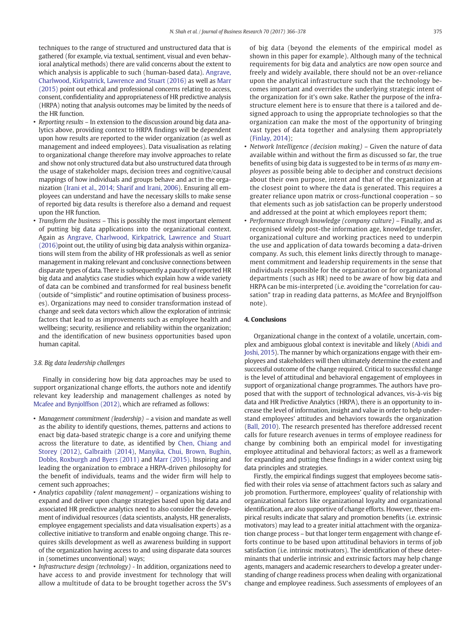techniques to the range of structured and unstructured data that is gathered (for example, via textual, sentiment, visual and even behavioral analytical methods) there are valid concerns about the extent to which analysis is applicable to such (human-based data). [Angrave,](#page-10-0) [Charlwood, Kirkpatrick, Lawrence and Stuart \(2016\)](#page-10-0) as well as [Marr](#page-11-0) [\(2015\)](#page-11-0) point out ethical and professional concerns relating to access, consent, confidentiality and appropriateness of HR predictive analysis (HRPA) noting that analysis outcomes may be limited by the needs of the HR function.

- Reporting results In extension to the discussion around big data analytics above, providing context to HRPA findings will be dependent upon how results are reported to the wider organization (as well as management and indeed employees). Data visualisation as relating to organizational change therefore may involve approaches to relate and show not only structured data but also unstructured data through the usage of stakeholder maps, decision trees and cognitive/causal mappings of how individuals and groups behave and act in the organization [\(Irani et al., 2014; Sharif and Irani, 2006](#page-11-0)). Ensuring all employees can understand and have the necessary skills to make sense of reported big data results is therefore also a demand and request upon the HR function.
- Transform the business This is possibly the most important element of putting big data applications into the organizational context. Again as [Angrave, Charlwood, Kirkpatrick, Lawrence and Stuart](#page-10-0) [\(2016\)p](#page-10-0)oint out, the utility of using big data analysis within organizations will stem from the ability of HR professionals as well as senior management in making relevant and conclusive connections between disparate types of data. There is subsequently a paucity of reported HR big data and analytics case studies which explain how a wide variety of data can be combined and transformed for real business benefit (outside of "simplistic" and routine optimisation of business processes). Organizations may need to consider transformation instead of change and seek data vectors which allow the exploration of intrinsic factors that lead to as improvements such as employee health and wellbeing; security, resilience and reliability within the organization; and the identification of new business opportunities based upon human capital.

#### 3.8. Big data leadership challenges

Finally in considering how big data approaches may be used to support organizational change efforts, the authors note and identify relevant key leadership and management challenges as noted by [Mcafee and Bynjolffson \(2012\)](#page-11-0), which are reframed as follows:

- Management commitment (leadership) a vision and mandate as well as the ability to identify questions, themes, patterns and actions to enact big data-based strategic change is a core and unifying theme across the literature to date, as identified by [Chen, Chiang and](#page-10-0) [Storey \(2012\),](#page-10-0) [Galbraith \(2014\),](#page-10-0) [Manyika, Chui, Brown, Bughin,](#page-11-0) [Dobbs, Roxburgh and Byers \(2011\)](#page-11-0) and [Marr \(2015\)](#page-11-0). Inspiring and leading the organization to embrace a HRPA-driven philosophy for the benefit of individuals, teams and the wider firm will help to cement such approaches;
- Analytics capability (talent management) organizations wishing to expand and deliver upon change strategies based upon big data and associated HR predictive analytics need to also consider the development of individual resources (data scientists, analysts, HR generalists, employee engagement specialists and data visualisation experts) as a collective initiative to transform and enable ongoing change. This requires skills development as well as awareness building in support of the organization having access to and using disparate data sources in (sometimes unconventional) ways;
- Infrastructure design (technology) In addition, organizations need to have access to and provide investment for technology that will allow a multitude of data to be brought together across the 5V's

of big data (beyond the elements of the empirical model as shown in this paper for example). Although many of the technical requirements for big data and analytics are now open source and freely and widely available, there should not be an over-reliance upon the analytical infrastructure such that the technology becomes important and overrides the underlying strategic intent of the organization for it's own sake. Rather the purpose of the infrastructure element here is to ensure that there is a tailored and designed approach to using the appropriate technologies so that the organization can make the most of the opportunity of bringing vast types of data together and analysing them appropriately ([Finlay, 2014\)](#page-10-0);

- Network Intelligence (decision making) Given the nature of data available within and without the firm as discussed so far, the true benefits of using big data is suggested to be in terms of as many employees as possible being able to decipher and construct decisions about their own purpose, intent and that of the organization at the closest point to where the data is generated. This requires a greater reliance upon matrix or cross-functional cooperation – so that elements such as job satisfaction can be properly understood and addressed at the point at which employees report them;
- Performance through knowledge (company culture) Finally, and as recognised widely post-the information age, knowledge transfer, organizational culture and working practices need to underpin the use and application of data towards becoming a data-driven company. As such, this element links directly through to management commitment and leadership requirements in the sense that individuals responsible for the organization or for organizational departments (such as HR) need to be aware of how big data and HRPA can be mis-interpreted (i.e. avoiding the "correlation for causation" trap in reading data patterns, as McAfee and Brynjolffson note).

# 4. Conclusions

Organizational change in the context of a volatile, uncertain, complex and ambiguous global context is inevitable and likely ([Abidi and](#page-10-0) [Joshi, 2015\)](#page-10-0). The manner by which organizations engage with their employees and stakeholders will then ultimately determine the extent and successful outcome of the change required. Critical to successful change is the level of attitudinal and behavioral engagement of employees in support of organizational change programmes. The authors have proposed that with the support of technological advances, vis-à-vis big data and HR Predictive Analytics (HRPA), there is an opportunity to increase the level of information, insight and value in order to help understand employees' attitudes and behaviors towards the organization [\(Ball, 2010\)](#page-10-0). The research presented has therefore addressed recent calls for future research avenues in terms of employee readiness for change by combining both an empirical model for investigating employee attitudinal and behavioral factors; as well as a framework for expanding and putting these findings in a wider context using big data principles and strategies.

Firstly, the empirical findings suggest that employees become satisfied with their roles via sense of attachment factors such as salary and job promotion. Furthermore, employees' quality of relationship with organizational factors like organizational loyalty and organizational identification, are also supportive of change efforts. However, these empirical results indicate that salary and promotion benefits (i.e. extrinsic motivators) may lead to a greater initial attachment with the organization change process – but that longer term engagement with change efforts continue to be based upon attitudinal behaviors in terms of job satisfaction (i.e. intrinsic motivators). The identification of these determinants that underlie intrinsic and extrinsic factors may help change agents, managers and academic researchers to develop a greater understanding of change readiness process when dealing with organizational change and employee readiness. Such assessments of employees of an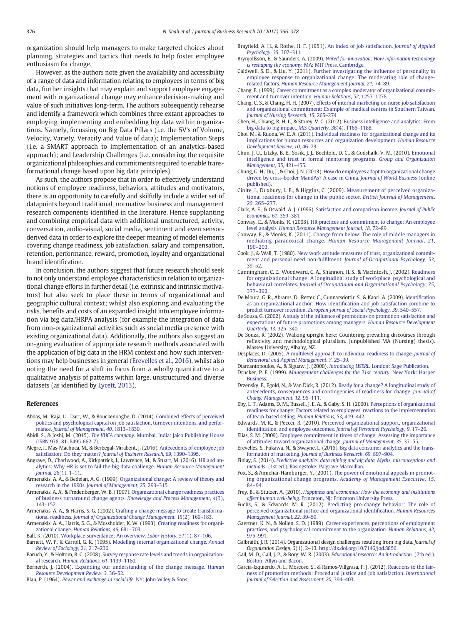<span id="page-10-0"></span>organization should help managers to make targeted choices about planning, strategies and tactics that needs to help foster employee enthusiasm for change.

However, as the authors note given the availability and accessibility of a range of data and information relating to employees in terms of big data, further insights that may explain and support employee engagement with organizational change may enhance decision-making and value of such initiatives long-term. The authors subsequently rehearse and identify a framework which combines three extant approaches to employing, implementing and embedding big data within organizations. Namely, focussing on Big Data Pillars (i.e. the 5V's of Volume, Velocity, Variety, Veracity and Value of data); Implementation Steps (i.e. a SMART approach to implementation of an analytics-based approach); and Leadership Challenges (i.e. considering the requisite organizational philosophies and commitments required to enable transformational change based upon big data principles).

As such, the authors propose that in order to effectively understand notions of employee readiness, behaviors, attitudes and motivators, there is an opportunity to carefully and skilfully include a wider set of datapoints beyond traditional, normative business and management research components identified in the literature. Hence supplanting and combining empirical data with additional unstructured, activity, conversation, audio-visual, social media, sentiment and even sensorderived data in order to explore the deeper meaning of model elements covering change readiness, job satisfaction, salary and compensation, retention, performance, reward, promotion, loyalty and organizational brand identification.

In conclusion, the authors suggest that future research should seek to not only understand employee characteristics in relation to organizational change efforts in further detail (i.e. extrinsic and intrinsic motivators) but also seek to place these in terms of organizational and geographic cultural context; whilst also exploring and evaluating the risks, benefits and costs of an expanded insight into employee information via big data/HRPA analysis (for example the integration of data from non-organizational activities such as social media presence with existing organizational data). Additionally, the authors also suggest an on-going evaluation of appropriate research methods associated with the application of big data in the HRM context and how such interventions may help businesses in general (Erevelles et al., 2016), whilst also noting the need for a shift in focus from a wholly quantitative to a qualitative analysis of patterns within large, unstructured and diverse datasets (as identified by [Lycett, 2013\)](#page-11-0).

#### **References**

- Abbas, M., Raja, U., Darr, W., & Bouckenooghe, D. (2014). [Combined effects of perceived](http://refhub.elsevier.com/S0148-2963(16)30497-0/rf0005) [politics and psychological capital on job satisfaction, turnover intentions, and perfor](http://refhub.elsevier.com/S0148-2963(16)30497-0/rf0005)mance. [Journal of Management](http://refhub.elsevier.com/S0148-2963(16)30497-0/rf0005), 40, 1813–1830.
- Abidi, S., & Joshi, M. (2015). The VUCA company. [Mumbai, India: Jaico Publishing House](http://refhub.elsevier.com/S0148-2963(16)30497-0/rf0010) (ISBN 978–81–[8495-662-7\).](http://refhub.elsevier.com/S0148-2963(16)30497-0/rf0010)
- Alegre, I., Mas-Machuca, M., & Berbegal-Mirabent, J. (2016). [Antecedents of employee job](http://refhub.elsevier.com/S0148-2963(16)30497-0/rf0015) [satisfaction: Do they matter?](http://refhub.elsevier.com/S0148-2963(16)30497-0/rf0015) Journal of Business Research, 69, 1390–1395.
- Angrave, D., Charlwood, A., Kirkpatrick, I., Lawrence, M., & Stuart, M. (2016). [HR and an](http://refhub.elsevier.com/S0148-2963(16)30497-0/rf0020)[alytics: Why HR is set to fail the big data challenge.](http://refhub.elsevier.com/S0148-2963(16)30497-0/rf0020) Human Resource Management [Journal](http://refhub.elsevier.com/S0148-2963(16)30497-0/rf0020), 26(1), 1–11.
- Armenakis, A. A., & Bedeian, A. G. (1999). [Organizational change: A review of theory and](http://refhub.elsevier.com/S0148-2963(16)30497-0/rf0025) research in the 1990s. [Journal of Management](http://refhub.elsevier.com/S0148-2963(16)30497-0/rf0025), 25, 293–315.
- Armenakis, A. A., & Fredenberger, W. B. (1997). [Organizational change readiness practices](http://refhub.elsevier.com/S0148-2963(16)30497-0/rf2000) [of business turnaround change agents.](http://refhub.elsevier.com/S0148-2963(16)30497-0/rf2000) Knowledge and Process Management, 4(3), 143–[152.](http://refhub.elsevier.com/S0148-2963(16)30497-0/rf2000)
- Armenakis, A. A., & Harris, S. G. (2002). [Crafting a change message to create transforma](http://refhub.elsevier.com/S0148-2963(16)30497-0/rf1000)tional readiness. [Journal of Organizational Change Management](http://refhub.elsevier.com/S0148-2963(16)30497-0/rf1000), 15(2), 169–183.
- Armenakis, A. A., Harris, S. G., & Mossholder, K. W. (1993). [Creating readiness for organi](http://refhub.elsevier.com/S0148-2963(16)30497-0/rf0030)zational change. [Human Relations](http://refhub.elsevier.com/S0148-2963(16)30497-0/rf0030), 46, 681–703.
- Ball, K. (2010). [Workplace surveillance: An overview.](http://refhub.elsevier.com/S0148-2963(16)30497-0/rf0035) Labor History, 51(1), 87–106.
- Barnett, W. P., & Carroll, G. R. (1995). [Modelling internal organizational change.](http://refhub.elsevier.com/S0148-2963(16)30497-0/rf0040) Annual [Review of Sociology](http://refhub.elsevier.com/S0148-2963(16)30497-0/rf0040), 21, 217–236.
- Baruch, Y., & Holtom, B. C. (2008). [Survey response rate levels and trends in organization](http://refhub.elsevier.com/S0148-2963(16)30497-0/rf0045)al research. [Human Relations](http://refhub.elsevier.com/S0148-2963(16)30497-0/rf0045), 61, 1139–1160.
- Bernerth, J. (2004). [Expanding our understanding of the change message.](http://refhub.elsevier.com/S0148-2963(16)30497-0/rf0050) Human [Resource Development Review](http://refhub.elsevier.com/S0148-2963(16)30497-0/rf0050), 3, 36–52.
- Blau, P. (1964). [Power and exchange in social life.](http://refhub.elsevier.com/S0148-2963(16)30497-0/rf3000) NY: John Wiley & Sons.
- Brayfield, A. H., & Rothe, H. F. (1951). [An index of job satisfaction.](http://refhub.elsevier.com/S0148-2963(16)30497-0/rf0055) Journal of Applied [Psychology](http://refhub.elsevier.com/S0148-2963(16)30497-0/rf0055), 35, 307–311.
- Brynjolfsson, E., & Saunders, A. (2009). [Wired for innovation: How information technology](http://refhub.elsevier.com/S0148-2963(16)30497-0/rf0060) is reshaping the economy. [MA: MIT Press, Cambridge.](http://refhub.elsevier.com/S0148-2963(16)30497-0/rf0060)
- Caldwell, S. D., & Liu, Y. (2011). [Further investigating the in](http://refhub.elsevier.com/S0148-2963(16)30497-0/rf0065)fluence of personality in [employee response to organizational change: The moderating role of change](http://refhub.elsevier.com/S0148-2963(16)30497-0/rf0065)related factors. [Human Resource Management Journal](http://refhub.elsevier.com/S0148-2963(16)30497-0/rf0065), 21, 74–89.
- Chang, E. (1999). [Career commitment as a complex moderator of organizational commit](http://refhub.elsevier.com/S0148-2963(16)30497-0/rf0070)[ment and turnover intention.](http://refhub.elsevier.com/S0148-2963(16)30497-0/rf0070) Human Relations, 52, 1257–1278.
- Chang, C. S., & Chang, H. H. (2007). [Effects of internal marketing on nurse job satisfaction](http://refhub.elsevier.com/S0148-2963(16)30497-0/rf0075) [and organizational commitment: Example of medical centres in Southern Taiwan.](http://refhub.elsevier.com/S0148-2963(16)30497-0/rf0075) [Journal of Nursing Research](http://refhub.elsevier.com/S0148-2963(16)30497-0/rf0075), 15, 265–274.
- Chen, H., Chiang, R. H. L., & Storey, V. C. (2012). [Business intelligence and analytics: From](http://refhub.elsevier.com/S0148-2963(16)30497-0/rf0080) [big data to big impact.](http://refhub.elsevier.com/S0148-2963(16)30497-0/rf0080) MIS Quarterly, 36(4), 1165–1188.
- Choi, M., & Ruona, W. E. A. (2011). [Individual readiness for organizational change and its](http://refhub.elsevier.com/S0148-2963(16)30497-0/rf0085) [implications for human resources and organization development.](http://refhub.elsevier.com/S0148-2963(16)30497-0/rf0085) Human Resource [Development Review](http://refhub.elsevier.com/S0148-2963(16)30497-0/rf0085), 10, 46–73.
- Chun, J. U., Litzky, B. E., Sosik, J. J., Bechtold, D. C., & Godshalk, V. M. (2010). [Emotional](http://refhub.elsevier.com/S0148-2963(16)30497-0/rf0090) [intelligence and trust in formal mentoring programs.](http://refhub.elsevier.com/S0148-2963(16)30497-0/rf0090) Group and Organization [Management](http://refhub.elsevier.com/S0148-2963(16)30497-0/rf0090), 35, 421–455.
- Chung, G. H., Du, J., & Choi, J. N. (2013). [How do employees adapt to organizational change](http://refhub.elsevier.com/S0148-2963(16)30497-0/rf0095) [driven by cross-border MandAs? A case in China.](http://refhub.elsevier.com/S0148-2963(16)30497-0/rf0095) Journal of World Business (online [published\).](http://refhub.elsevier.com/S0148-2963(16)30497-0/rf0095)
- Cinite, I., Duxbury, L. E., & Higgins, C. (2009). [Measurement of perceived organiza](http://refhub.elsevier.com/S0148-2963(16)30497-0/rf0100)[tional readiness for change in the public sector.](http://refhub.elsevier.com/S0148-2963(16)30497-0/rf0100) British Journal of Management, 20[, 265](http://refhub.elsevier.com/S0148-2963(16)30497-0/rf0100)–277.
- Clark, A. E., & Oswald, A. J. (1996). [Satisfaction and comparison income.](http://refhub.elsevier.com/S0148-2963(16)30497-0/rf0105) Journal of Public [Economics](http://refhub.elsevier.com/S0148-2963(16)30497-0/rf0105), 61, 359–381.
- Conway, E., & Monks, K. (2008). [HR practices and commitment to change: An employee](http://refhub.elsevier.com/S0148-2963(16)30497-0/rf0110) level analysis. [Human Resource Management Journal](http://refhub.elsevier.com/S0148-2963(16)30497-0/rf0110), 18, 72–89.
- Conway, E., & Monks, K. (2011). [Change from below: The role of middle managers in](http://refhub.elsevier.com/S0148-2963(16)30497-0/rf0115) mediating paradoxical change. [Human Resource Management Journal](http://refhub.elsevier.com/S0148-2963(16)30497-0/rf0115), 21, 190–[203.](http://refhub.elsevier.com/S0148-2963(16)30497-0/rf0115)
- Cook, J., & Wall, T. (1980). [New work attitude measures of trust, organizational commit](http://refhub.elsevier.com/S0148-2963(16)30497-0/rf0120)ment and personal need non-fulfilment. [Journal of Occupational Psychology](http://refhub.elsevier.com/S0148-2963(16)30497-0/rf0120), 53, 39–[52.](http://refhub.elsevier.com/S0148-2963(16)30497-0/rf0120)
- Cunningham, C. E., Woodward, C. A., Shannon, H. S., & MacIntosh, J. (2002). [Readiness](http://refhub.elsevier.com/S0148-2963(16)30497-0/rf0125) [for organizational change: A longitudinal study of workplace, psychological and](http://refhub.elsevier.com/S0148-2963(16)30497-0/rf0125) behavioral correlates. [Journal of Occupational and Organizational Psychology](http://refhub.elsevier.com/S0148-2963(16)30497-0/rf0125), 75, 377–[392.](http://refhub.elsevier.com/S0148-2963(16)30497-0/rf0125)
- De Moura, G. R., Abrams, D., Retter, C., Gunnarsdottir, S., & Kaori, A. (2009). Identifi[cation](http://refhub.elsevier.com/S0148-2963(16)30497-0/rf0130) [as an organizational anchor: How identi](http://refhub.elsevier.com/S0148-2963(16)30497-0/rf0130)fication and job satisfaction combine to predict turnover intention. [European Journal of Social Psychology](http://refhub.elsevier.com/S0148-2963(16)30497-0/rf0130), 39, 540–557.
- de Sousa, G. (2002). A study of the infl[uence of promotions on promotion satisfaction and](http://refhub.elsevier.com/S0148-2963(16)30497-0/rf0135) [expectations of future promotions among managers.](http://refhub.elsevier.com/S0148-2963(16)30497-0/rf0135) Human Resource Development [Quarterly](http://refhub.elsevier.com/S0148-2963(16)30497-0/rf0135), 13, 325–340.
- De Souza, R. (2002). Walking upright here: Countering prevailing discourses through reflexivity and methodological pluralism. (unpublished MA (Nursing) thesis). Massey University, Albany, NZ.
- Desplaces, D. (2005). [A multilevel approach to individual readiness to change.](http://refhub.elsevier.com/S0148-2963(16)30497-0/rf0140) Journal of [Behavioral and Applied Management](http://refhub.elsevier.com/S0148-2963(16)30497-0/rf0140), 7, 25–39.
- Diamantopoulos, A., & Siguaw, J. (2000). Introducing LISERL. [London: Sage Publication.](http://refhub.elsevier.com/S0148-2963(16)30497-0/rf0145)
- Drucker, P. F. (1999). [Management challenges for the 21st century.](http://refhub.elsevier.com/S0148-2963(16)30497-0/rf0150) New York: Harper [Business.](http://refhub.elsevier.com/S0148-2963(16)30497-0/rf0150)
- Drzensky, F., Egold, N., & Van Dick, R. (2012). [Ready for a change? A longitudinal study of](http://refhub.elsevier.com/S0148-2963(16)30497-0/rf0155) [antecedents, consequences and contingencies of readiness for change.](http://refhub.elsevier.com/S0148-2963(16)30497-0/rf0155) Journal of [Change Management](http://refhub.elsevier.com/S0148-2963(16)30497-0/rf0155), 12, 95–111.
- Eby, L. T., Adams, D. M., Russell, J. E. A., & Gaby, S. H. (2000). [Perceptions of organizational](http://refhub.elsevier.com/S0148-2963(16)30497-0/rf0160) [readiness for change: Factors related to employees' reactions to the implementation](http://refhub.elsevier.com/S0148-2963(16)30497-0/rf0160) [of team-based selling.](http://refhub.elsevier.com/S0148-2963(16)30497-0/rf0160) Human Relations, 53, 419–442.
- Edwards, M. R., & Peccei, R. (2010). [Perceived organizational support, organizational](http://refhub.elsevier.com/S0148-2963(16)30497-0/rf0165) identifi[cation, and employee outcomes.](http://refhub.elsevier.com/S0148-2963(16)30497-0/rf0165) Journal of Personnel Psychology, 9, 17–26.
- Elias, S. M. (2009). [Employee commitment in times of change: Assessing the importance](http://refhub.elsevier.com/S0148-2963(16)30497-0/rf0170) [of attitudes toward organizational change.](http://refhub.elsevier.com/S0148-2963(16)30497-0/rf0170) Journal of Management, 35, 37–55.
- Erevelles, S., Fukawa, N., & Swayne, L. (2016). [Big data consumer analytics and the trans](http://refhub.elsevier.com/S0148-2963(16)30497-0/rf0175)formation of marketing. [Journal of Business Research](http://refhub.elsevier.com/S0148-2963(16)30497-0/rf0175), 69, 897–904.
- Finlay, S. (2014). [Predictive analytics, data mining and big data. Myths, misconceptions and](http://refhub.elsevier.com/S0148-2963(16)30497-0/rf0180) methods [\(1st ed.\). Basingstoke: Palgrave Macmillan.](http://refhub.elsevier.com/S0148-2963(16)30497-0/rf0180)
- Fox, S., & Amichai-Hamburger, Y. (2001). [The power of emotional appeals in promot](http://refhub.elsevier.com/S0148-2963(16)30497-0/rf0185)[ing organizational change programs.](http://refhub.elsevier.com/S0148-2963(16)30497-0/rf0185) Academy of Management Executive, 15, 84–[94.](http://refhub.elsevier.com/S0148-2963(16)30497-0/rf0185)
- Frey, B., & Stutzer, A. (2010). [Happiness and economics: How the economy and institutions](http://refhub.elsevier.com/S0148-2963(16)30497-0/rf0190) affect human well-being. [Princeton, NJ: Princeton University Press.](http://refhub.elsevier.com/S0148-2963(16)30497-0/rf0190)
- Fuchs, S., & Edwards, M. R. (2012). [Predicting pro-change behavior: The role of](http://refhub.elsevier.com/S0148-2963(16)30497-0/rf0195) [perceived organizational justice and organizational identi](http://refhub.elsevier.com/S0148-2963(16)30497-0/rf0195)fication. Human Resources [Management Journal](http://refhub.elsevier.com/S0148-2963(16)30497-0/rf0195), 22, 39–59.
- Gaertner, K. N., & Nollen, S. D. (1989). [Career experiences, perceptions of employment](http://refhub.elsevier.com/S0148-2963(16)30497-0/rf0200) [practices, and psychological commitment to the organization.](http://refhub.elsevier.com/S0148-2963(16)30497-0/rf0200) Human Relations, 42, 975–[991.](http://refhub.elsevier.com/S0148-2963(16)30497-0/rf0200)
- Galbraith, J. R. (2014). Organizational design challenges resulting from big data. Journal of Organization Design, 3(1), 2–13. http://dx.doi.org[/10.7146/jod.8856](http://dx.doi.org/10.7146/jod.8856).
- Gall, M. D., Gall, J. P., & Borg, W. R. (2003). [Educational research: An introduction](http://refhub.elsevier.com/S0148-2963(16)30497-0/rf0210) (7th ed.). [Boston: Allyn and Bacon.](http://refhub.elsevier.com/S0148-2963(16)30497-0/rf0210)
- Garcia-Izquierdo, A. L., Moscoso, S., & Ramos-Villgrasa, P. J. (2012). [Reactions to the fair](http://refhub.elsevier.com/S0148-2963(16)30497-0/rf0215)[ness of promotion methods: Procedural justice and job satisfaction.](http://refhub.elsevier.com/S0148-2963(16)30497-0/rf0215) International [Journal of Selection and Assessment](http://refhub.elsevier.com/S0148-2963(16)30497-0/rf0215), 20, 394–403.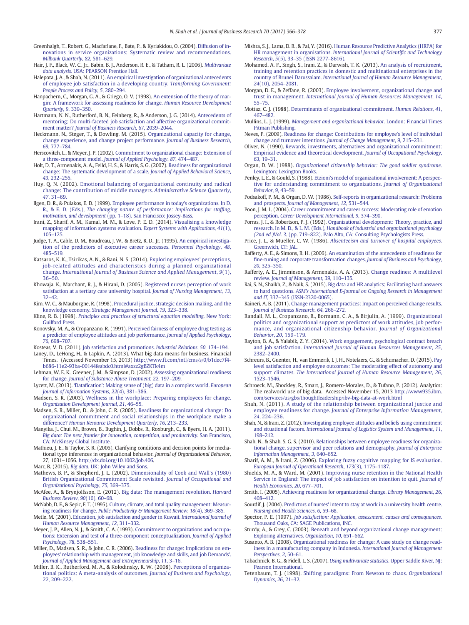- <span id="page-11-0"></span>Greenhalgh, T., Robert, G., Macfarlane, F., Bate, P., & Kyriakidou, O. (2004). [Diffusion of in](http://refhub.elsevier.com/S0148-2963(16)30497-0/rf0220)[novations in service organizations: Systematic review and recommendations.](http://refhub.elsevier.com/S0148-2963(16)30497-0/rf0220) [Milbank Quarterly](http://refhub.elsevier.com/S0148-2963(16)30497-0/rf0220), 82, 581–629.
- Hair, J. F., Black, W. C., Jr., Babin, B. J., Anderson, R. E., & Tatham, R. L. (2006). [Multivariate](http://refhub.elsevier.com/S0148-2963(16)30497-0/rf0225) data analysis. [USA: PEARSON Prentice Hall.](http://refhub.elsevier.com/S0148-2963(16)30497-0/rf0225)
- Halepota, J. A., & Shah, N. (2011). [An empirical investigation of organizational antecedents](http://refhub.elsevier.com/S0148-2963(16)30497-0/rf0230) [of employee job satisfaction in a developing country.](http://refhub.elsevier.com/S0148-2963(16)30497-0/rf0230) Transforming Government: [People Process and Policy](http://refhub.elsevier.com/S0148-2963(16)30497-0/rf0230), 5, 280–294.
- Hanpachern, C., Morgan, G. A., & Griego, O. V. (1998). [An extension of the theory of mar](http://refhub.elsevier.com/S0148-2963(16)30497-0/rf0235)[gin: A framework for assessing readiness for change.](http://refhub.elsevier.com/S0148-2963(16)30497-0/rf0235) Human Resource Development [Quarterly](http://refhub.elsevier.com/S0148-2963(16)30497-0/rf0235), 9, 339–350.
- Hartmann, N. N., Rutherford, B. N., Feinberg, R., & Anderson, J. G. (2014). [Antecedents of](http://refhub.elsevier.com/S0148-2963(16)30497-0/rf0240) [mentoring: Do multi-faceted job satisfaction and affective organizational commit-](http://refhub.elsevier.com/S0148-2963(16)30497-0/rf0240)ment matter? [Journal of Business Research](http://refhub.elsevier.com/S0148-2963(16)30497-0/rf0240), 67, 2039–2044.
- Heckmann, N., Steger, T., & Dowling, M. (2015). [Organizational capacity for change,](http://refhub.elsevier.com/S0148-2963(16)30497-0/rf0245) [change experience, and change project performance.](http://refhub.elsevier.com/S0148-2963(16)30497-0/rf0245) Journal of Business Research, 69[, 777](http://refhub.elsevier.com/S0148-2963(16)30497-0/rf0245)–784.
- Herscovitch, L., & Meyer, J. P. (2002). [Commitment to organizational change: Extension of](http://refhub.elsevier.com/S0148-2963(16)30497-0/rf0250) a three-component model. [Journal of Applied Psychology](http://refhub.elsevier.com/S0148-2963(16)30497-0/rf0250), 87, 474–487.
- Holt, D. T., Armenakis, A. A., Feild, H. S., & Harris, S. G. (2007). [Readiness for organizational](http://refhub.elsevier.com/S0148-2963(16)30497-0/rf0255) [change: The systematic development of a scale.](http://refhub.elsevier.com/S0148-2963(16)30497-0/rf0255) Journal of Applied Behavioral Science, 43[, 232](http://refhub.elsevier.com/S0148-2963(16)30497-0/rf0255)–255.
- Huy, Q. N. (2002). [Emotional balancing of organizational continuity and radical](http://refhub.elsevier.com/S0148-2963(16)30497-0/rf0260) [change: The contribution of middle managers.](http://refhub.elsevier.com/S0148-2963(16)30497-0/rf0260) Administrative Science Quarterly, 47[, 31](http://refhub.elsevier.com/S0148-2963(16)30497-0/rf0260)–69.
- Ilgen, D. R., & Pulakos, E. D. (1999). [Employee performance in today's organizations. In D.](http://refhub.elsevier.com/S0148-2963(16)30497-0/rf0265) R., & E. D. (Eds.), [The changing nature of performance: Implications for staf](http://refhub.elsevier.com/S0148-2963(16)30497-0/rf0265)fing, motivation, and development (pp. 1–[18\). San Francisco: Jossey-Bass.](http://refhub.elsevier.com/S0148-2963(16)30497-0/rf0265)
- Irani, Z., Sharif, A. M., Kamal, M. M., & Love, P. E. D. (2014). [Visualising a knowledge](http://refhub.elsevier.com/S0148-2963(16)30497-0/rf0270) [mapping of information systems evaluation.](http://refhub.elsevier.com/S0148-2963(16)30497-0/rf0270) Expert Systems with Applications, 41(1), 105–[125.](http://refhub.elsevier.com/S0148-2963(16)30497-0/rf0270)
- Judge, T. A., Cable, D. M., Boudreau, J. W., & Bretz, R. D., Jr. (1995). [An empirical investiga](http://refhub.elsevier.com/S0148-2963(16)30497-0/rf4000)[tion of the predictors of executive career successes.](http://refhub.elsevier.com/S0148-2963(16)30497-0/rf4000) Personnel Psychology, 48, 485–[519.](http://refhub.elsevier.com/S0148-2963(16)30497-0/rf4000)
- Katsaros, K. K., Tsirikas, A. N., & Bani, N. S. (2014). [Exploring employees' perceptions,](http://refhub.elsevier.com/S0148-2963(16)30497-0/rf0280) [job-related attitudes and characteristics during a planned organizational](http://refhub.elsevier.com/S0148-2963(16)30497-0/rf0280) change. [International Journal of Business Science and Applied Management](http://refhub.elsevier.com/S0148-2963(16)30497-0/rf0280), 9(1), 36–[50.](http://refhub.elsevier.com/S0148-2963(16)30497-0/rf0280)
- Khowaja, K., Marchant, R. J., & Hirani, D. (2005). [Registered nurses perception of work](http://refhub.elsevier.com/S0148-2963(16)30497-0/rf0285) [satisfaction at a tertiary care university hospital.](http://refhub.elsevier.com/S0148-2963(16)30497-0/rf0285) Journal of Nursing Management, 13, 32–[42.](http://refhub.elsevier.com/S0148-2963(16)30497-0/rf0285)
- Kim, W. C., & Mauborgne, R. (1998). [Procedural justice, strategic decision making, and the](http://refhub.elsevier.com/S0148-2963(16)30497-0/rf0290) knowledge economy. [Strategic Management Journal](http://refhub.elsevier.com/S0148-2963(16)30497-0/rf0290), 19, 323–338.
- Kline, R. B. (1998). [Principles and practices of structural equation modelling.](http://refhub.elsevier.com/S0148-2963(16)30497-0/rf0295) New York: [Guilford Press.](http://refhub.elsevier.com/S0148-2963(16)30497-0/rf0295)
- Konovsky, M. A., & Cropanzano, R. (1991). [Perceived fairness of employee drug testing as](http://refhub.elsevier.com/S0148-2963(16)30497-0/rf0300) [a predictor of employee attitudes and job performance.](http://refhub.elsevier.com/S0148-2963(16)30497-0/rf0300) Journal of Applied Psychology, 76[, 698](http://refhub.elsevier.com/S0148-2963(16)30497-0/rf0300)–707.
- Kosteas, V. D. (2011). [Job satisfaction and promotions.](http://refhub.elsevier.com/S0148-2963(16)30497-0/rf0305) Industrial Relations, 50, 174–194.
- Laney, D., LeHong, H., & Lapkin, A. (2013). What big data means for business. Financial Times. (Accessed November 15, 2013) [http://www.ft.com/intl/cms/s/0/b1dec7f4](http://www.ft.com/intl/cms/s/0/b1dec7f4-b686-11e2-93ba-00144feabdc0.html#axzz2gBZKTk4m) [b686-11e2-93ba-00144feabdc0.html#axzz2gBZKTk4m](http://www.ft.com/intl/cms/s/0/b1dec7f4-b686-11e2-93ba-00144feabdc0.html#axzz2gBZKTk4m)
- Lehman, W. E. K., Greener, J. M., & Simpson, D. (2002). [Assessing organizational readiness](http://refhub.elsevier.com/S0148-2963(16)30497-0/rf5000) for change. [Journal of Substance Abuse Treatment](http://refhub.elsevier.com/S0148-2963(16)30497-0/rf5000), 22, 197–209.
- Lycett, M. (2013). 'Datafication'[: Making sense of \(big\) data in a complex world.](http://refhub.elsevier.com/S0148-2963(16)30497-0/rf0315) European [Journal of Information Systems](http://refhub.elsevier.com/S0148-2963(16)30497-0/rf0315), 22(4), 381–386.
- Madsen, S. R. (2003). [Wellness in the workplace: Preparing employees for change.](http://refhub.elsevier.com/S0148-2963(16)30497-0/rf6000) [Organization Development Journal](http://refhub.elsevier.com/S0148-2963(16)30497-0/rf6000), 21, 46–55.
- Madsen, S. R., Miller, D., & John, C. R. (2005). [Readiness for organizational change: Do](http://refhub.elsevier.com/S0148-2963(16)30497-0/rf0320) [organizational commitment and social relationships in the workplace make a](http://refhub.elsevier.com/S0148-2963(16)30497-0/rf0320) difference? [Human Resource Development Quarterly](http://refhub.elsevier.com/S0148-2963(16)30497-0/rf0320), 16, 213–233.
- Manyika, J., Chui, M., Brown, B., Bughin, J., Dobbs, R., Roxburgh, C., & Byers, H. A. (2011). [Big data: The next frontier for innovation, competition, and productivity.](http://refhub.elsevier.com/S0148-2963(16)30497-0/rf0325) San Francisco, [CA: McKinsey Global Institute.](http://refhub.elsevier.com/S0148-2963(16)30497-0/rf0325)
- Mathieu, J. E., & Taylor, S. R. (2006). Clarifying conditions and decision points for mediational type inferences in organizational behavior. Journal of Organizational Behavior, 27, 1031–1056. http://dx.doi.org/[10.1002/job.406](http://dx.doi.org/10.1002/job.406).
- Marr, B. (2015). Big data. [UK: John Wiley and Sons.](http://refhub.elsevier.com/S0148-2963(16)30497-0/rf0330)
- Mathews, B. P., & Shepherd, J. L. (2002). [Dimensionality of Cook and Wall's \(1980\)](http://refhub.elsevier.com/S0148-2963(16)30497-0/rf0335) [British Organizational Commitment Scale revisited.](http://refhub.elsevier.com/S0148-2963(16)30497-0/rf0335) Journal of Occupational and [Organizational Psychology](http://refhub.elsevier.com/S0148-2963(16)30497-0/rf0335), 75, 369–375.
- McAfee, A., & Brynjolfsson, E. (2012). [Big data: The management revolution.](http://refhub.elsevier.com/S0148-2963(16)30497-0/rf0340) Harvard [Business Review](http://refhub.elsevier.com/S0148-2963(16)30497-0/rf0340), 90(10), 60–68.
- McNabb, D. E., & Sepic, F. T. (1995). [Culture, climate, and total quality management: Measur-](http://refhub.elsevier.com/S0148-2963(16)30497-0/rf8000)ing readiness for change. [Public Productivity & Management Review](http://refhub.elsevier.com/S0148-2963(16)30497-0/rf8000), 18(4), 369-385.
- Metle, M. (2001). [Education, job satisfaction and gender in Kuwait.](http://refhub.elsevier.com/S0148-2963(16)30497-0/rf0345) International Journal of [Human Resource Management](http://refhub.elsevier.com/S0148-2963(16)30497-0/rf0345), 12, 311–332.
- Meyer, J. P., Allen, N. J., & Smith, C. A. (1993). [Commitment to organizations and occupa](http://refhub.elsevier.com/S0148-2963(16)30497-0/rf0350)[tions: Extension and test of a three-component conceptualization.](http://refhub.elsevier.com/S0148-2963(16)30497-0/rf0350) Journal of Applied [Psychology](http://refhub.elsevier.com/S0148-2963(16)30497-0/rf0350), 78, 538–551.
- Miller, D., Madsen, S. R., & John, C. R. (2006). [Readiness for change: Implications on em](http://refhub.elsevier.com/S0148-2963(16)30497-0/rf0355)[ployees' relationship with management, job knowledge and skills, and job Demands'.](http://refhub.elsevier.com/S0148-2963(16)30497-0/rf0355) [Journal of Applied Management and Entrepreneurship](http://refhub.elsevier.com/S0148-2963(16)30497-0/rf0355), 11, 3–16.
- Miller, B. K., Rutherford, M. A., & Kolodinsky, R. W. (2008). [Perceptions of organiza](http://refhub.elsevier.com/S0148-2963(16)30497-0/rf0360)[tional politics: A meta-analysis of outcomes.](http://refhub.elsevier.com/S0148-2963(16)30497-0/rf0360) Journal of Business and Psychology, 22[, 209](http://refhub.elsevier.com/S0148-2963(16)30497-0/rf0360)–222.
- Mishra, S. J., Lama, D. R., & Pal, Y. (2016). [Human Resource Predictive Analytics \(HRPA\) for](http://refhub.elsevier.com/S0148-2963(16)30497-0/rf0365) [HR management in organisations.](http://refhub.elsevier.com/S0148-2963(16)30497-0/rf0365) International Journal of Scientific and Technology Research, 5(5), 33–[35 \(ISSN 2277](http://refhub.elsevier.com/S0148-2963(16)30497-0/rf0365)–8616).
- Mohamed, A. F., Singh, S., Irani, Z., & Darwish, T. K. (2013). [An analysis of recruitment,](http://refhub.elsevier.com/S0148-2963(16)30497-0/rf0370) [training and retention practices in domestic and multinational enterprises in the](http://refhub.elsevier.com/S0148-2963(16)30497-0/rf0370) country of Brunei Darussalam. [International Journal of Human Resource Management](http://refhub.elsevier.com/S0148-2963(16)30497-0/rf0370),  $24(10)$ , 2054–2081.
- Morgan, D. E., & Zeffane, R. (2003). [Employee involvement, organizational change and](http://refhub.elsevier.com/S0148-2963(16)30497-0/rf0375) trust in management. [International Journal of Human Resources Management](http://refhub.elsevier.com/S0148-2963(16)30497-0/rf0375), 14, 55–[75.](http://refhub.elsevier.com/S0148-2963(16)30497-0/rf0375)
- Mottaz, C. J. (1988). [Determinants of organizational commitment.](http://refhub.elsevier.com/S0148-2963(16)30497-0/rf0380) Human Relations, 41, 467–[482.](http://refhub.elsevier.com/S0148-2963(16)30497-0/rf0380)
- Mullins, L. J. (1999). [Management and organizational behavior.](http://refhub.elsevier.com/S0148-2963(16)30497-0/rf0385) London: Financial Times [Pitman Publishing.](http://refhub.elsevier.com/S0148-2963(16)30497-0/rf0385)
- Neves, P. (2009). [Readiness for change: Contributions for employee's level of individual](http://refhub.elsevier.com/S0148-2963(16)30497-0/rf0390) [change and turnover intentions.](http://refhub.elsevier.com/S0148-2963(16)30497-0/rf0390) Journal of Change Management, 9, 215–231.
- Oliver, N. (1990). [Rewards, investments, alternatives and organizational commitment:](http://refhub.elsevier.com/S0148-2963(16)30497-0/rf0395) [Empirical evidence and theoretical development.](http://refhub.elsevier.com/S0148-2963(16)30497-0/rf0395) Journal of Occupational Psychology, 63[, 19](http://refhub.elsevier.com/S0148-2963(16)30497-0/rf0395)–31.
- Organ, D. W. (1988). [Organizational citizenship behavior: The good soldier syndrome.](http://refhub.elsevier.com/S0148-2963(16)30497-0/rf0400) [Lexington: Lexington Books.](http://refhub.elsevier.com/S0148-2963(16)30497-0/rf0400)
- Penley, L. E., & Gould, S. (1988). [Etzioni's model of organizational involvement: A perspec](http://refhub.elsevier.com/S0148-2963(16)30497-0/rf0410)[tive for understanding commitment to organizations.](http://refhub.elsevier.com/S0148-2963(16)30497-0/rf0410) Journal of Organizational [Behavior](http://refhub.elsevier.com/S0148-2963(16)30497-0/rf0410), 9, 43–59.
- Podsakoff, P. M., & Organ, D. W. (1986). [Self-reports in organizational research: Problems](http://refhub.elsevier.com/S0148-2963(16)30497-0/rf0415) and prospects. [Journal of Management](http://refhub.elsevier.com/S0148-2963(16)30497-0/rf0415), 12, 531–544.
- Poon, J. M. L. (2004). [Career commitment and career success: Moderating role of emotion](http://refhub.elsevier.com/S0148-2963(16)30497-0/rf0420) perception. [Career Development International](http://refhub.elsevier.com/S0148-2963(16)30497-0/rf0420), 9, 374–390.
- Porras, J. I., & Robertson, P. J. (1992). [Organizational development: Theory, practice, and](http://refhub.elsevier.com/S0148-2963(16)30497-0/rf0425) research. In M. D., & L. M. (Eds.), [Handbook of industrial and organizational psychology](http://refhub.elsevier.com/S0148-2963(16)30497-0/rf0425) (2nd ed.)Vol. 3. (pp. 719–[822\). Palo Alto, CA: Consulting Psychologists Press.](http://refhub.elsevier.com/S0148-2963(16)30497-0/rf0425)
- Price, J. L., & Mueller, C. W. (1986). [Absenteeism and turnover of hospital employees.](http://refhub.elsevier.com/S0148-2963(16)30497-0/rf0430) [Greenwich, CT: JAL.](http://refhub.elsevier.com/S0148-2963(16)30497-0/rf0430)
- Rafferty, A. E., & Simons, R. H. (2006). [An examination of the antecedents of readiness for](http://refhub.elsevier.com/S0148-2963(16)30497-0/rf0435) fi[ne-tuning and corporate transformation changes.](http://refhub.elsevier.com/S0148-2963(16)30497-0/rf0435) Journal of Business and Psychology, 20[, 325](http://refhub.elsevier.com/S0148-2963(16)30497-0/rf0435)–350.
- Rafferty, A. E., Jimmieson, & Armenakis, A. A. (2013). [Change readines: A multilevel](http://refhub.elsevier.com/S0148-2963(16)30497-0/rf0440) review. [Journal of Management](http://refhub.elsevier.com/S0148-2963(16)30497-0/rf0440), 39, 110–135.
- Rai, S. N., Shaikh, Z., & Naik, S. (2015). [Big data and HR analytics: Facilitating hard answers](http://refhub.elsevier.com/S0148-2963(16)30497-0/rf0445) to hard questions. [ASM's International E-Journal on Ongoing Research in Management](http://refhub.elsevier.com/S0148-2963(16)30497-0/rf0445) and IT, 337–[345 \(ISSN-2320-0065\).](http://refhub.elsevier.com/S0148-2963(16)30497-0/rf0445)
- Raineri, A. B. (2011). [Change management practices: Impact on perceived change results.](http://refhub.elsevier.com/S0148-2963(16)30497-0/rf0450) [Journal of Business Research](http://refhub.elsevier.com/S0148-2963(16)30497-0/rf0450), 64, 266–272.
- Randall, M. L., Cropanzano, R., Bormann, C. A., & Birjulin, A. (1999). [Organizational](http://refhub.elsevier.com/S0148-2963(16)30497-0/rf0455) [politics and organizational support as predictors of work attitudes, job perfor](http://refhub.elsevier.com/S0148-2963(16)30497-0/rf0455)[mance, and organizational citizenship behavior.](http://refhub.elsevier.com/S0148-2963(16)30497-0/rf0455) Journal of Organizational [Behavior](http://refhub.elsevier.com/S0148-2963(16)30497-0/rf0455), 20, 159–179.
- Rayton, B. A., & Yalabik, Z. Y. (2014). [Work engagement, psychological contract breach](http://refhub.elsevier.com/S0148-2963(16)30497-0/rf0460) and job satisfaction. [International Journal of Human Resources Management](http://refhub.elsevier.com/S0148-2963(16)30497-0/rf0460), 25, 2382–[2400.](http://refhub.elsevier.com/S0148-2963(16)30497-0/rf0460)
- Schreurs, B., Guenter, H., van Emmerik, I. J. H., Notelaers, G., & Schumacher, D. (2015). [Pay](http://refhub.elsevier.com/S0148-2963(16)30497-0/rf0465) [level satisfaction and employee outcomes: The moderating effect of autonomy and](http://refhub.elsevier.com/S0148-2963(16)30497-0/rf0465) support climates. [The International Journal of Human Resource Management](http://refhub.elsevier.com/S0148-2963(16)30497-0/rf0465), 26, 1523–[1546.](http://refhub.elsevier.com/S0148-2963(16)30497-0/rf0465)
- Schroeck, M., Shockley, R., Smart, J., Romero-Morales, D., & Tufano, P. (2012). Analytics: The realworld use of big data. Accessed November 15, 2013 [http://www935.ibm.](http://www935.ibm.com/services/us/gbs/thoughtleadership/ibv-big-data-at-work.html) [com/services/us/gbs/thoughtleadership/ibv-big-data-at-work.html](http://www935.ibm.com/services/us/gbs/thoughtleadership/ibv-big-data-at-work.html)
- Shah, N. (2011). [A study of the relationship between organizational justice and](http://refhub.elsevier.com/S0148-2963(16)30497-0/rf0475) employee readiness for change. [Journal of Enterprise Information Management](http://refhub.elsevier.com/S0148-2963(16)30497-0/rf0475), 24[, 224](http://refhub.elsevier.com/S0148-2963(16)30497-0/rf0475)–236.
- Shah, N., & Irani, Z. (2012). [Investigating employee attitudes and beliefs using commitment](http://refhub.elsevier.com/S0148-2963(16)30497-0/rf0480) and situational factors. [International Journal of Logistics System and Management](http://refhub.elsevier.com/S0148-2963(16)30497-0/rf0480), 11, 198–[212.](http://refhub.elsevier.com/S0148-2963(16)30497-0/rf0480)
- Shah, N., & Shah, S. G. S. (2010). [Relationships between employee readiness for organiza](http://refhub.elsevier.com/S0148-2963(16)30497-0/rf0485)[tional change, supervisor and peer relations and demography.](http://refhub.elsevier.com/S0148-2963(16)30497-0/rf0485) Journal of Enterprise [Information Management](http://refhub.elsevier.com/S0148-2963(16)30497-0/rf0485), 3, 640–652.
- Sharif, A. M., & Irani, Z. (2006). [Exploring fuzzy cognitive mapping for IS evaluation.](http://refhub.elsevier.com/S0148-2963(16)30497-0/rf0490) [European Journal of Operational Research](http://refhub.elsevier.com/S0148-2963(16)30497-0/rf0490), 173(3), 1175–1187.
- Shields, M. A., & Ward, M. (2001). [Improving nurse retention in the National Health](http://refhub.elsevier.com/S0148-2963(16)30497-0/rf0495) [Service in England: The impact of job satisfaction on intention to quit.](http://refhub.elsevier.com/S0148-2963(16)30497-0/rf0495) Journal of [Health Economics](http://refhub.elsevier.com/S0148-2963(16)30497-0/rf0495), 20, 677–701.
- Smith, I. (2005). [Achieving readiness for organizational change.](http://refhub.elsevier.com/S0148-2963(16)30497-0/rf0500) Library Management, 26, 408–[412.](http://refhub.elsevier.com/S0148-2963(16)30497-0/rf0500)
- Sourdif, J. (2004). [Predictors of nurses' intent to stay at work in a university health centre.](http://refhub.elsevier.com/S0148-2963(16)30497-0/rf0505) [Nursing and Health Sciences](http://refhub.elsevier.com/S0148-2963(16)30497-0/rf0505), 6, 59–68.
- Spector, P. E. (1997). [Job satisfaction: Application, assessment, causes and consequences.](http://refhub.elsevier.com/S0148-2963(16)30497-0/rf0510) [Thousand Oaks, CA: SAGE Publications, INC.](http://refhub.elsevier.com/S0148-2963(16)30497-0/rf0510)
- Sturdy, A., & Grey, C. (2003). [Beneath and beyond organizational change management:](http://refhub.elsevier.com/S0148-2963(16)30497-0/rf0515) [Exploring alternatives.](http://refhub.elsevier.com/S0148-2963(16)30497-0/rf0515) Organization, 10, 651–662.
- Susanto, A. B. (2008). [Organizational readiness for change: A case study on change read](http://refhub.elsevier.com/S0148-2963(16)30497-0/rf0520)[iness in a manufacturing company in Indonesia.](http://refhub.elsevier.com/S0148-2963(16)30497-0/rf0520) International Journal of Management [Perspectives](http://refhub.elsevier.com/S0148-2963(16)30497-0/rf0520), 2, 50–61.
- Tabachnick, B. G., & Fidell, L. S. (2007). [Using multivariate statistics.](http://refhub.elsevier.com/S0148-2963(16)30497-0/rf0525) Upper Saddle River, NJ: [Pearson International.](http://refhub.elsevier.com/S0148-2963(16)30497-0/rf0525)
- Tetenbaum, T. J. (1998). [Shifting paradigms: From Newton to chaos.](http://refhub.elsevier.com/S0148-2963(16)30497-0/rf0530) Organizational [Dynamics](http://refhub.elsevier.com/S0148-2963(16)30497-0/rf0530), 26, 21–32.